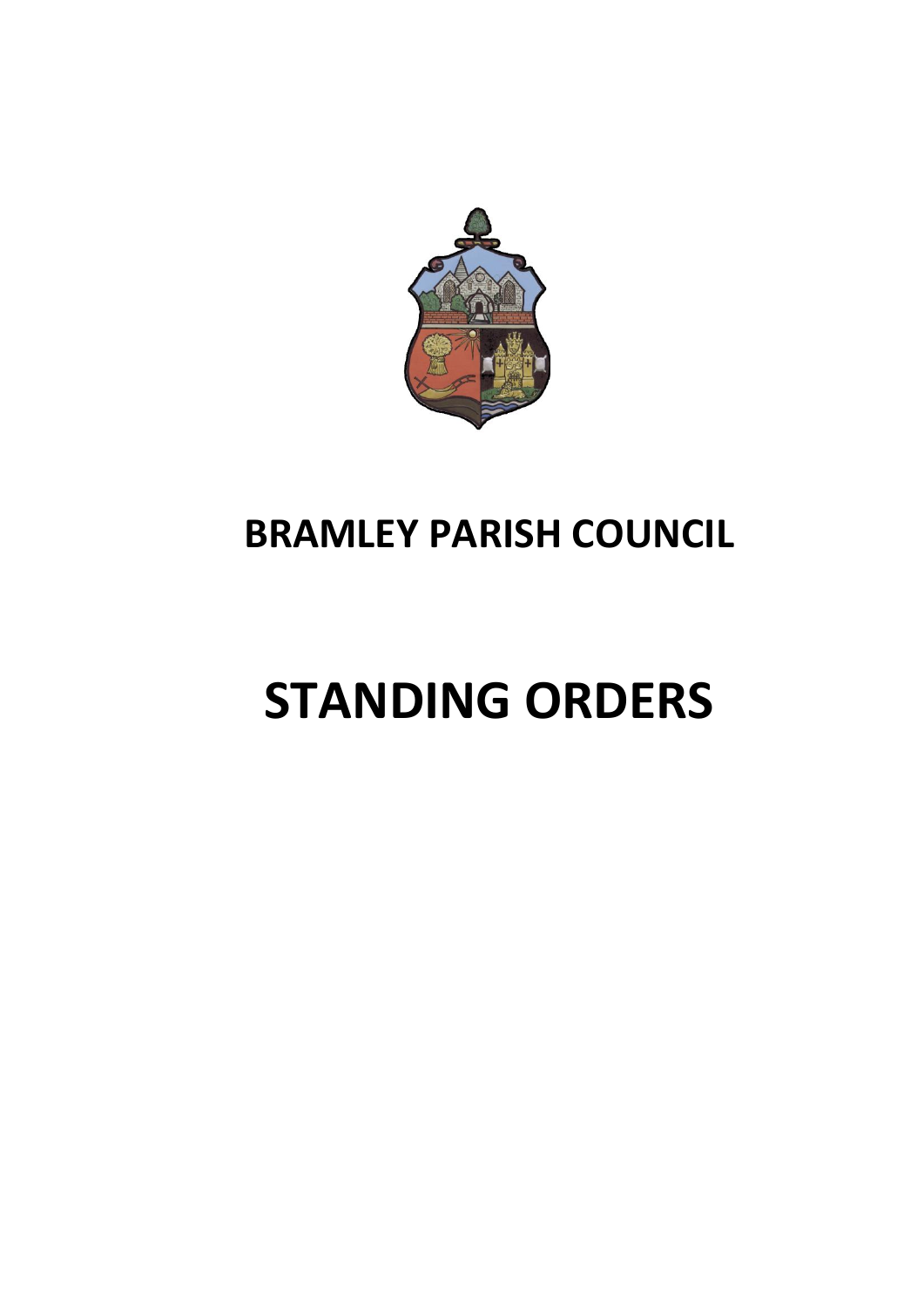

# **BRAMLEY PARISH COUNCIL**

# **STANDING ORDERS**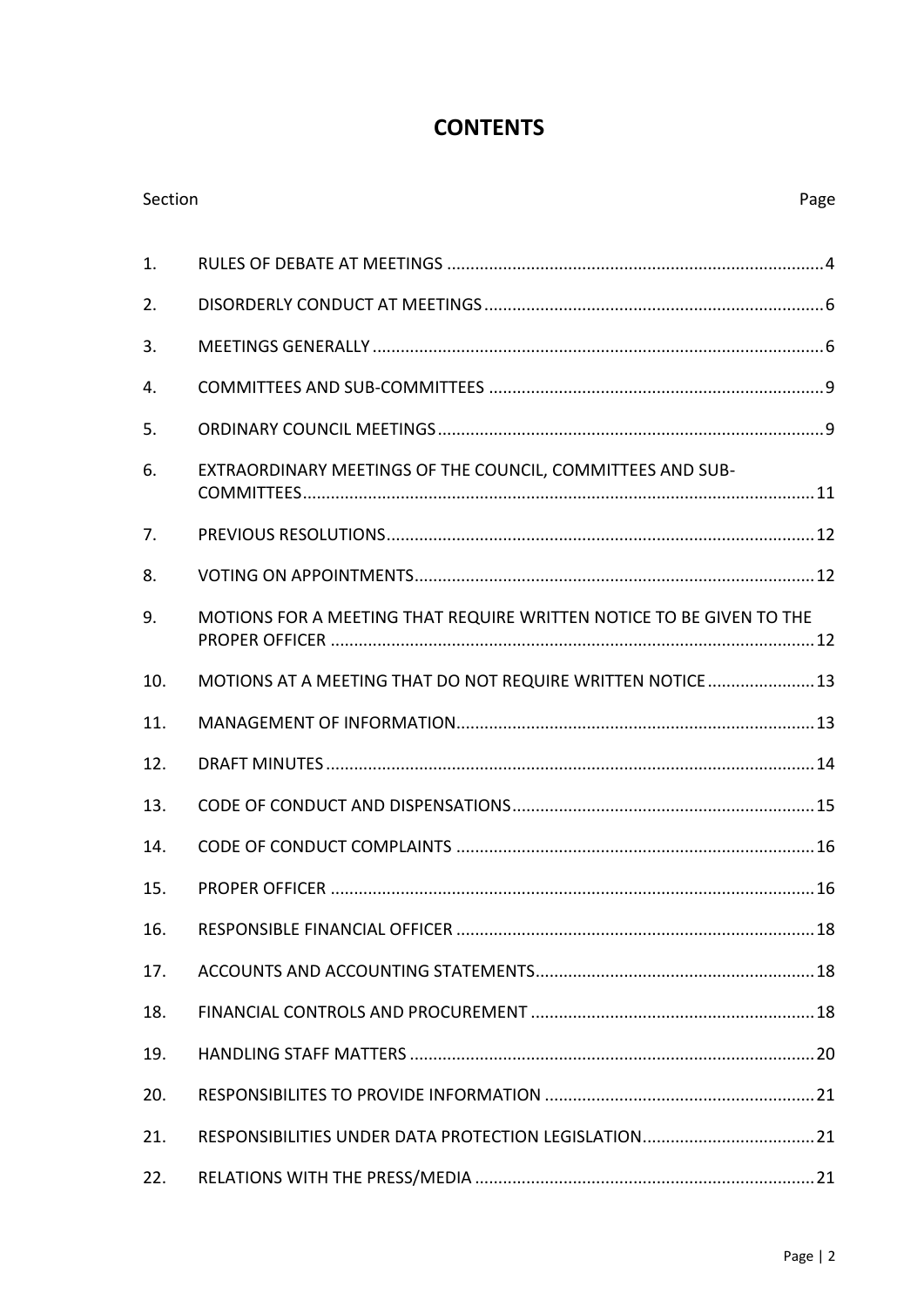# **CONTENTS**

| Section          |                                                                      | Page |
|------------------|----------------------------------------------------------------------|------|
| 1.               |                                                                      |      |
| 2.               |                                                                      |      |
| 3.               |                                                                      |      |
| $\overline{4}$ . |                                                                      |      |
| 5.               |                                                                      |      |
| 6.               | EXTRAORDINARY MEETINGS OF THE COUNCIL, COMMITTEES AND SUB-           |      |
| 7.               |                                                                      |      |
| 8.               |                                                                      |      |
| 9.               | MOTIONS FOR A MEETING THAT REQUIRE WRITTEN NOTICE TO BE GIVEN TO THE |      |
| 10.              | MOTIONS AT A MEETING THAT DO NOT REQUIRE WRITTEN NOTICE 13           |      |
| 11.              |                                                                      |      |
| 12.              |                                                                      |      |
| 13.              |                                                                      |      |
| 14.              |                                                                      |      |
| 15.              |                                                                      |      |
| 16.              |                                                                      |      |
| 17.              |                                                                      |      |
| 18.              |                                                                      |      |
| 19.              |                                                                      |      |
| 20.              |                                                                      |      |
| 21.              |                                                                      |      |
| 22.              |                                                                      |      |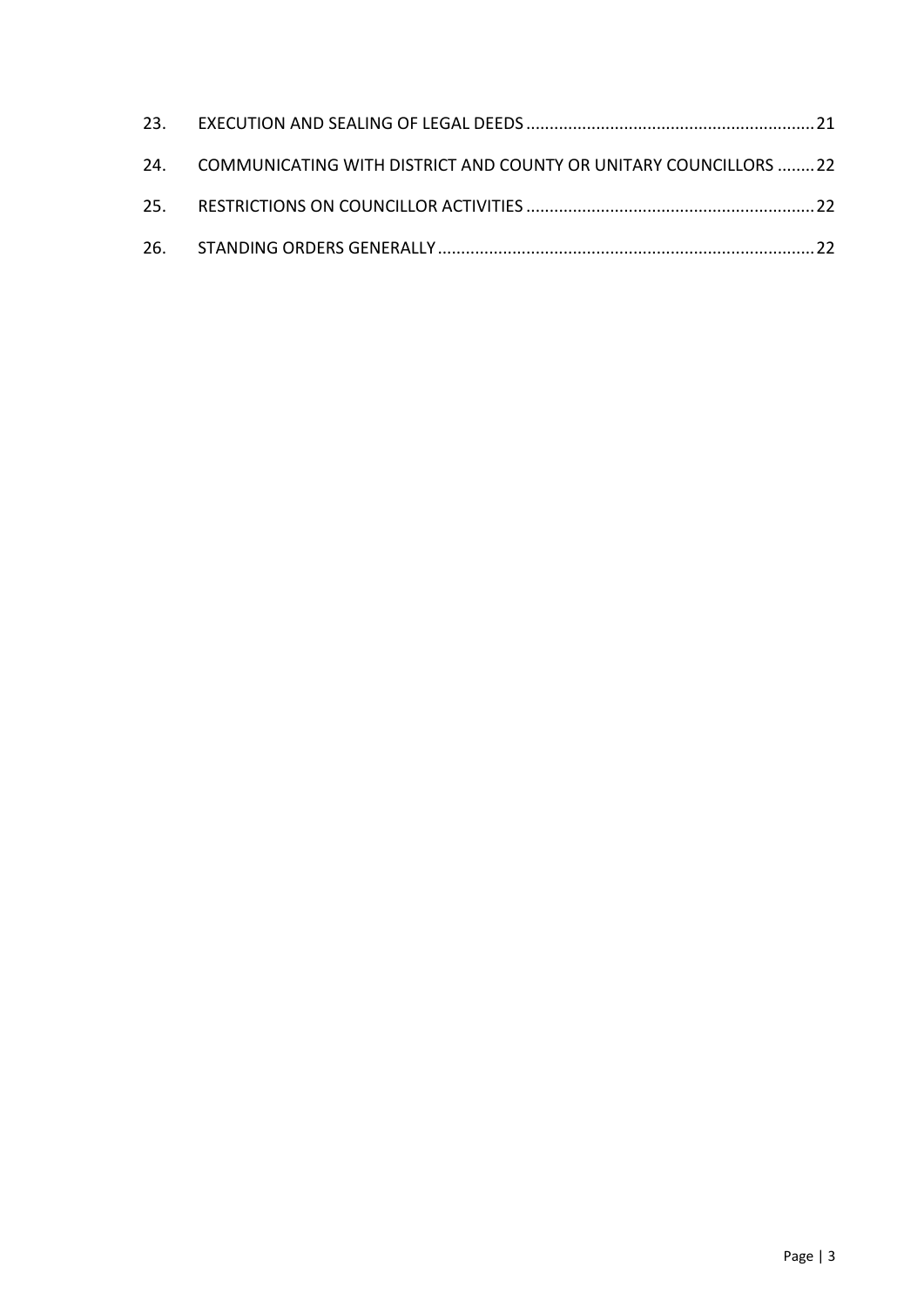| 24. COMMUNICATING WITH DISTRICT AND COUNTY OR UNITARY COUNCILLORS 22 |  |
|----------------------------------------------------------------------|--|
|                                                                      |  |
|                                                                      |  |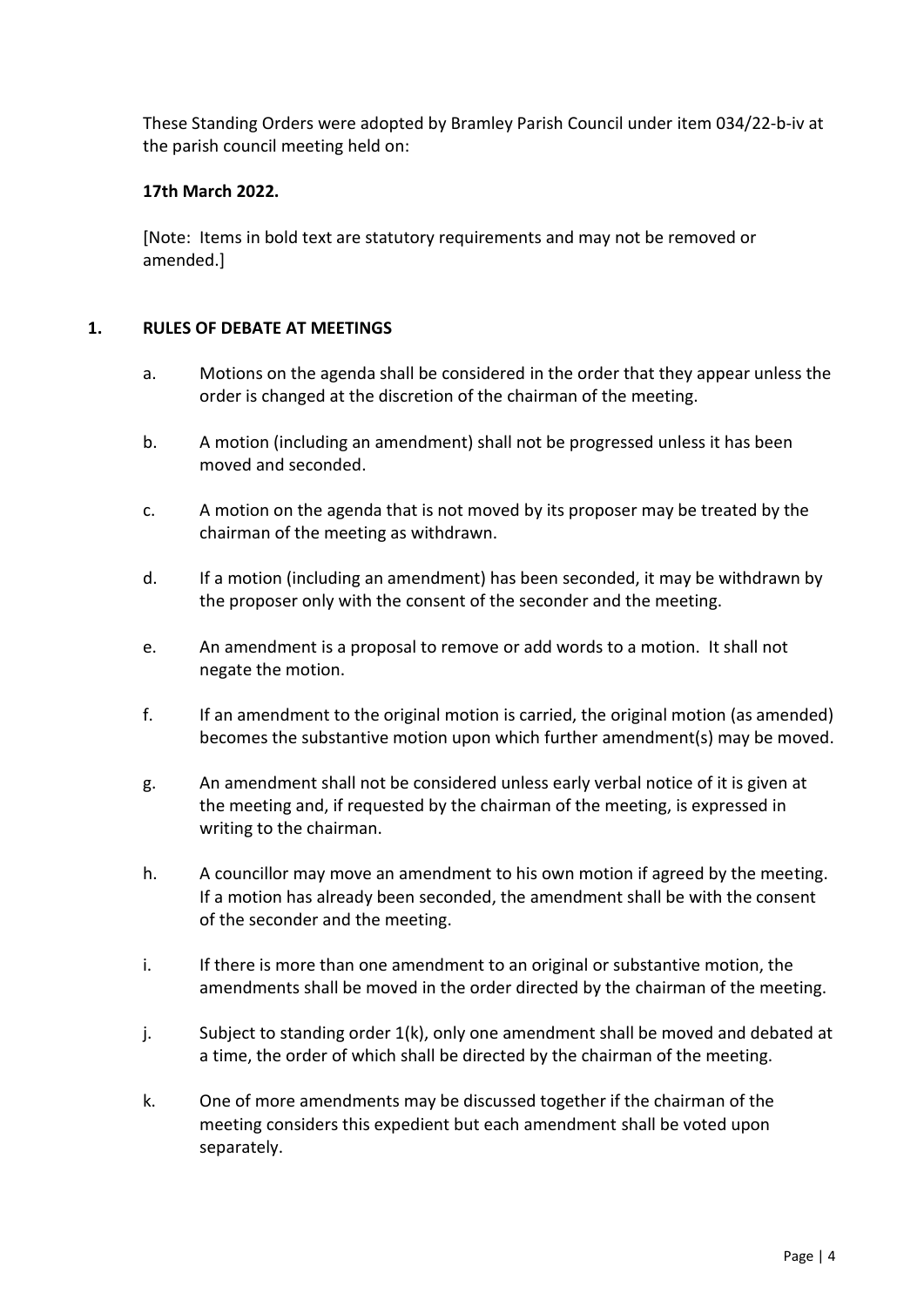These Standing Orders were adopted by Bramley Parish Council under item 034/22-b-iv at the parish council meeting held on:

# **17th March 2022.**

[Note: Items in bold text are statutory requirements and may not be removed or amended.]

# <span id="page-3-0"></span>**1. RULES OF DEBATE AT MEETINGS**

- a. Motions on the agenda shall be considered in the order that they appear unless the order is changed at the discretion of the chairman of the meeting.
- b. A motion (including an amendment) shall not be progressed unless it has been moved and seconded.
- c. A motion on the agenda that is not moved by its proposer may be treated by the chairman of the meeting as withdrawn.
- d. If a motion (including an amendment) has been seconded, it may be withdrawn by the proposer only with the consent of the seconder and the meeting.
- e. An amendment is a proposal to remove or add words to a motion. It shall not negate the motion.
- f. If an amendment to the original motion is carried, the original motion (as amended) becomes the substantive motion upon which further amendment(s) may be moved.
- g. An amendment shall not be considered unless early verbal notice of it is given at the meeting and, if requested by the chairman of the meeting, is expressed in writing to the chairman.
- h. A councillor may move an amendment to his own motion if agreed by the meeting. If a motion has already been seconded, the amendment shall be with the consent of the seconder and the meeting.
- i. If there is more than one amendment to an original or substantive motion, the amendments shall be moved in the order directed by the chairman of the meeting.
- j. Subject to standing order 1(k), only one amendment shall be moved and debated at a time, the order of which shall be directed by the chairman of the meeting.
- k. One of more amendments may be discussed together if the chairman of the meeting considers this expedient but each amendment shall be voted upon separately.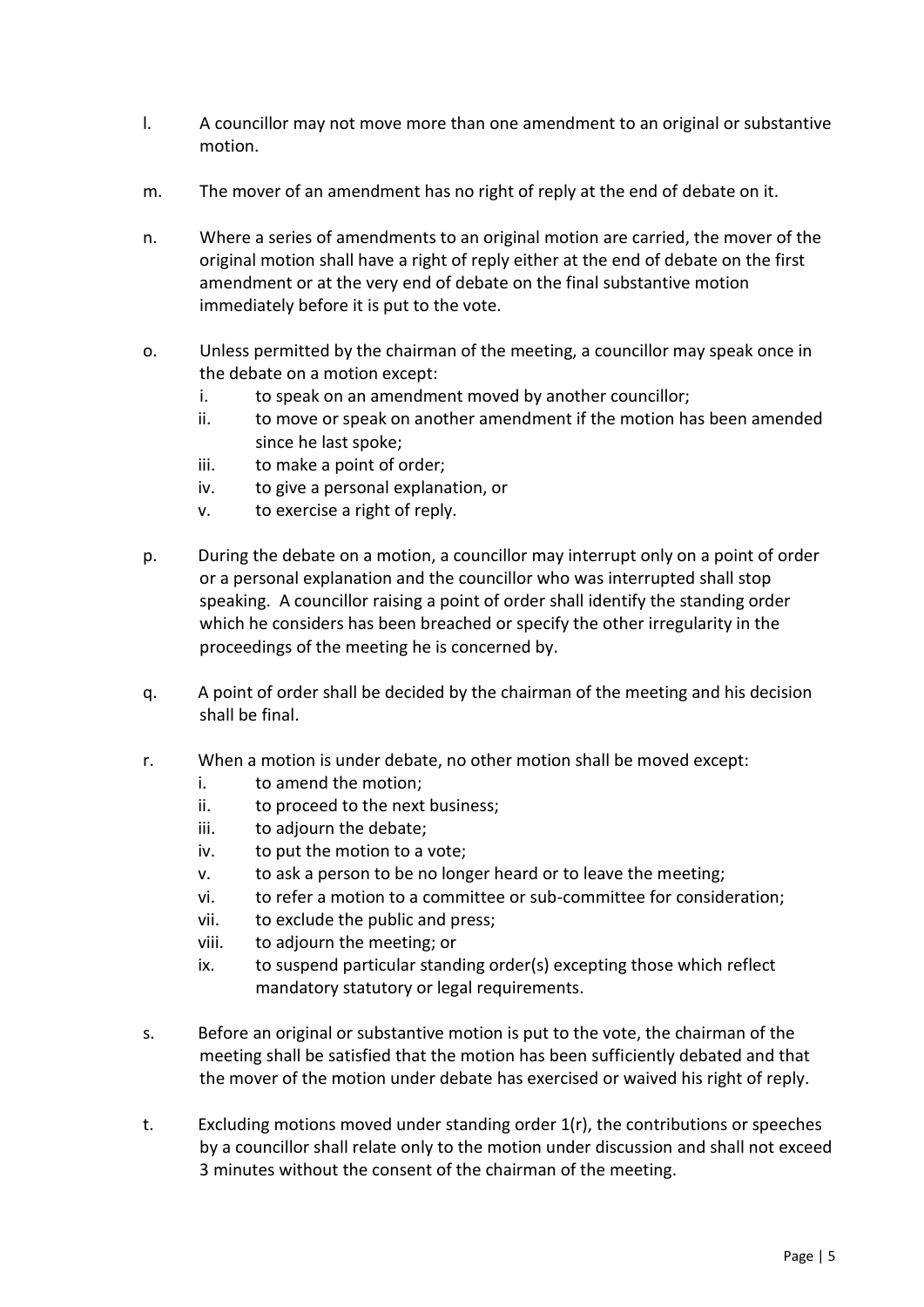- l. A councillor may not move more than one amendment to an original or substantive motion.
- m. The mover of an amendment has no right of reply at the end of debate on it.
- n. Where a series of amendments to an original motion are carried, the mover of the original motion shall have a right of reply either at the end of debate on the first amendment or at the very end of debate on the final substantive motion immediately before it is put to the vote.
- o. Unless permitted by the chairman of the meeting, a councillor may speak once in the debate on a motion except:
	- i. to speak on an amendment moved by another councillor;
	- ii. to move or speak on another amendment if the motion has been amended since he last spoke;
	- iii. to make a point of order;
	- iv. to give a personal explanation, or
	- v. to exercise a right of reply.
- p. During the debate on a motion, a councillor may interrupt only on a point of order or a personal explanation and the councillor who was interrupted shall stop speaking. A councillor raising a point of order shall identify the standing order which he considers has been breached or specify the other irregularity in the proceedings of the meeting he is concerned by.
- q. A point of order shall be decided by the chairman of the meeting and his decision shall be final.
- r. When a motion is under debate, no other motion shall be moved except:
	- i. to amend the motion;
	- ii. to proceed to the next business;
	- iii. to adjourn the debate;
	- iv. to put the motion to a vote;
	- v. to ask a person to be no longer heard or to leave the meeting;
	- vi. to refer a motion to a committee or sub-committee for consideration;
	- vii. to exclude the public and press;
	- viii. to adjourn the meeting; or
	- ix. to suspend particular standing order(s) excepting those which reflect mandatory statutory or legal requirements.
- s. Before an original or substantive motion is put to the vote, the chairman of the meeting shall be satisfied that the motion has been sufficiently debated and that the mover of the motion under debate has exercised or waived his right of reply.
- t. Excluding motions moved under standing order 1(r), the contributions or speeches by a councillor shall relate only to the motion under discussion and shall not exceed 3 minutes without the consent of the chairman of the meeting.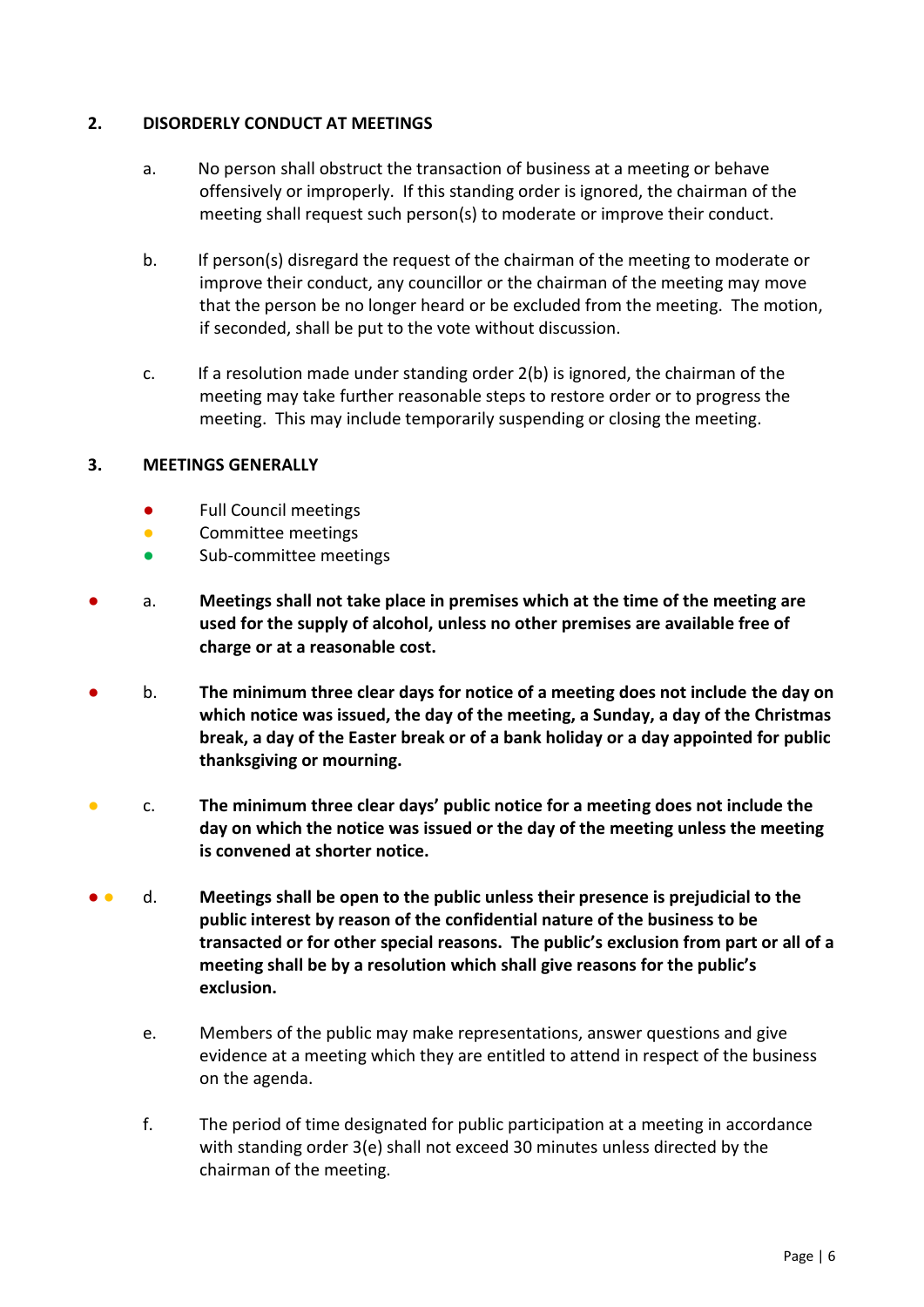# <span id="page-5-0"></span>**2. DISORDERLY CONDUCT AT MEETINGS**

- a. No person shall obstruct the transaction of business at a meeting or behave offensively or improperly. If this standing order is ignored, the chairman of the meeting shall request such person(s) to moderate or improve their conduct.
- b. If person(s) disregard the request of the chairman of the meeting to moderate or improve their conduct, any councillor or the chairman of the meeting may move that the person be no longer heard or be excluded from the meeting. The motion, if seconded, shall be put to the vote without discussion.
- c. If a resolution made under standing order 2(b) is ignored, the chairman of the meeting may take further reasonable steps to restore order or to progress the meeting. This may include temporarily suspending or closing the meeting.

# <span id="page-5-1"></span>**3. MEETINGS GENERALLY**

- **●** Full Council meetings
- Committee meetings
- Sub-committee meetings
- **●** a. **Meetings shall not take place in premises which at the time of the meeting are used for the supply of alcohol, unless no other premises are available free of charge or at a reasonable cost.**
- **●** b. **The minimum three clear days for notice of a meeting does not include the day on which notice was issued, the day of the meeting, a Sunday, a day of the Christmas break, a day of the Easter break or of a bank holiday or a day appointed for public thanksgiving or mourning.**
- c. **The minimum three clear days' public notice for a meeting does not include the day on which the notice was issued or the day of the meeting unless the meeting is convened at shorter notice.**
- **●** d. **Meetings shall be open to the public unless their presence is prejudicial to the public interest by reason of the confidential nature of the business to be transacted or for other special reasons. The public's exclusion from part or all of a meeting shall be by a resolution which shall give reasons for the public's exclusion.**
	- e. Members of the public may make representations, answer questions and give evidence at a meeting which they are entitled to attend in respect of the business on the agenda.
	- f. The period of time designated for public participation at a meeting in accordance with standing order 3(e) shall not exceed 30 minutes unless directed by the chairman of the meeting.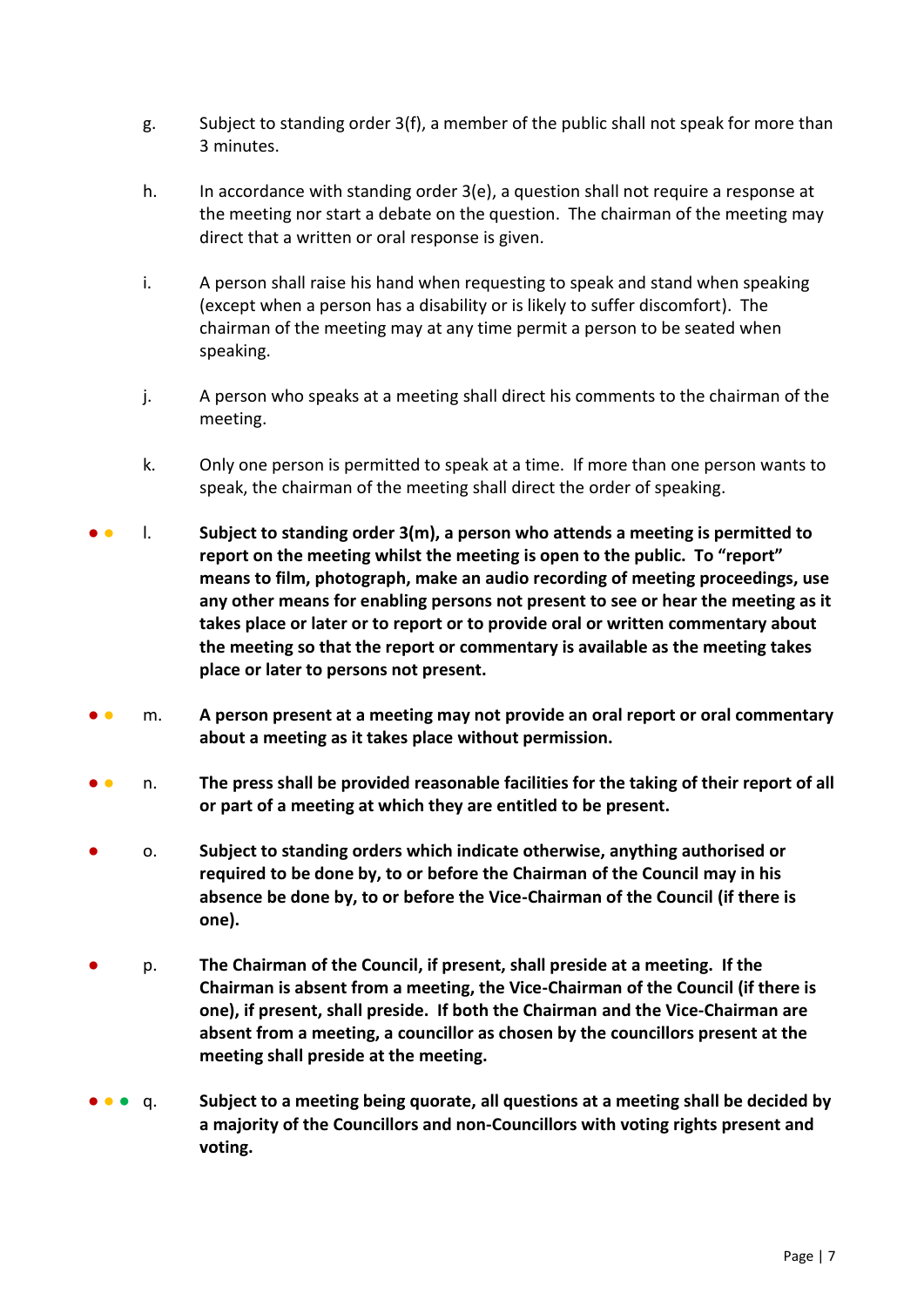- g. Subject to standing order 3(f), a member of the public shall not speak for more than 3 minutes.
- h. In accordance with standing order 3(e), a question shall not require a response at the meeting nor start a debate on the question. The chairman of the meeting may direct that a written or oral response is given.
- i. A person shall raise his hand when requesting to speak and stand when speaking (except when a person has a disability or is likely to suffer discomfort). The chairman of the meeting may at any time permit a person to be seated when speaking.
- j. A person who speaks at a meeting shall direct his comments to the chairman of the meeting.
- k. Only one person is permitted to speak at a time. If more than one person wants to speak, the chairman of the meeting shall direct the order of speaking.
- **●** l. **Subject to standing order 3(m), a person who attends a meeting is permitted to report on the meeting whilst the meeting is open to the public. To "report" means to film, photograph, make an audio recording of meeting proceedings, use any other means for enabling persons not present to see or hear the meeting as it takes place or later or to report or to provide oral or written commentary about the meeting so that the report or commentary is available as the meeting takes place or later to persons not present.**
- **●** m. **A person present at a meeting may not provide an oral report or oral commentary about a meeting as it takes place without permission.**
- **●** n. **The press shall be provided reasonable facilities for the taking of their report of all or part of a meeting at which they are entitled to be present.**
- **●** o. **Subject to standing orders which indicate otherwise, anything authorised or required to be done by, to or before the Chairman of the Council may in his absence be done by, to or before the Vice-Chairman of the Council (if there is one).**
- **●** p. **The Chairman of the Council, if present, shall preside at a meeting. If the Chairman is absent from a meeting, the Vice-Chairman of the Council (if there is one), if present, shall preside. If both the Chairman and the Vice-Chairman are absent from a meeting, a councillor as chosen by the councillors present at the meeting shall preside at the meeting.**
- **●** ● q. **Subject to a meeting being quorate, all questions at a meeting shall be decided by a majority of the Councillors and non-Councillors with voting rights present and voting.**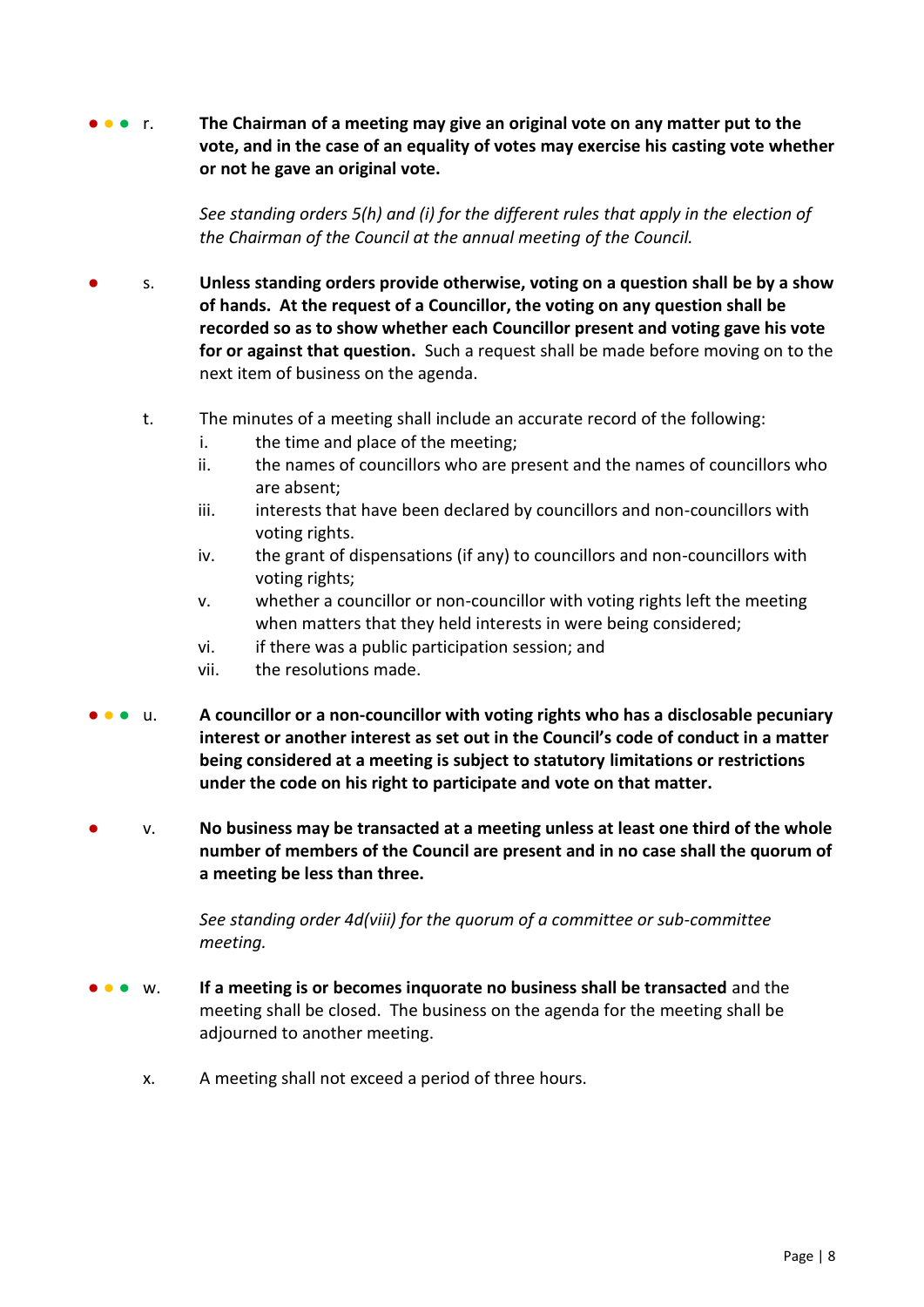**•** • **• r.** The Chairman of a meeting may give an original vote on any matter put to the **vote, and in the case of an equality of votes may exercise his casting vote whether or not he gave an original vote.** 

> *See standing orders 5(h) and (i) for the different rules that apply in the election of the Chairman of the Council at the annual meeting of the Council.*

- **●** s. **Unless standing orders provide otherwise, voting on a question shall be by a show of hands. At the request of a Councillor, the voting on any question shall be recorded so as to show whether each Councillor present and voting gave his vote for or against that question.** Such a request shall be made before moving on to the next item of business on the agenda.
	- t. The minutes of a meeting shall include an accurate record of the following:
		- i. the time and place of the meeting;
		- ii. the names of councillors who are present and the names of councillors who are absent;
		- iii. interests that have been declared by councillors and non-councillors with voting rights.
		- iv. the grant of dispensations (if any) to councillors and non-councillors with voting rights;
		- v. whether a councillor or non-councillor with voting rights left the meeting when matters that they held interests in were being considered;
		- vi. if there was a public participation session; and
		- vii. the resolutions made.
- **●** ● u. **A councillor or a non-councillor with voting rights who has a disclosable pecuniary interest or another interest as set out in the Council's code of conduct in a matter being considered at a meeting is subject to statutory limitations or restrictions under the code on his right to participate and vote on that matter.**
- **●** v. **No business may be transacted at a meeting unless at least one third of the whole number of members of the Council are present and in no case shall the quorum of a meeting be less than three.**

*See standing order 4d(viii) for the quorum of a committee or sub-committee meeting.*

- **• w.** If a meeting is or becomes inquorate no business shall be transacted and the meeting shall be closed. The business on the agenda for the meeting shall be adjourned to another meeting.
	- x. A meeting shall not exceed a period of three hours.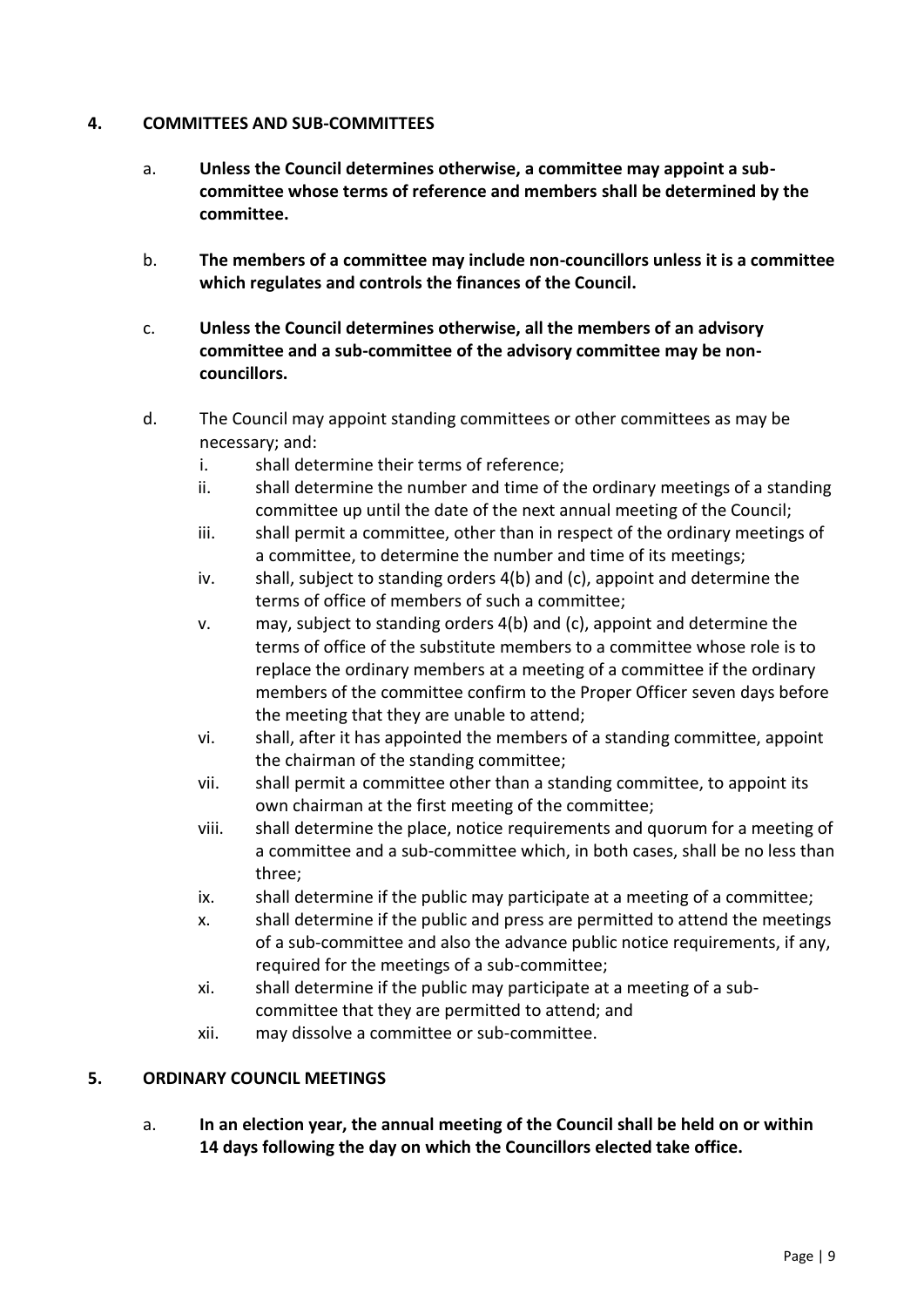# <span id="page-8-0"></span>**4. COMMITTEES AND SUB-COMMITTEES**

- a. **Unless the Council determines otherwise, a committee may appoint a subcommittee whose terms of reference and members shall be determined by the committee.**
- b. **The members of a committee may include non-councillors unless it is a committee which regulates and controls the finances of the Council.**
- c. **Unless the Council determines otherwise, all the members of an advisory committee and a sub-committee of the advisory committee may be noncouncillors.**
- d. The Council may appoint standing committees or other committees as may be necessary; and:
	- i. shall determine their terms of reference;
	- ii. shall determine the number and time of the ordinary meetings of a standing committee up until the date of the next annual meeting of the Council;
	- iii. shall permit a committee, other than in respect of the ordinary meetings of a committee, to determine the number and time of its meetings;
	- iv. shall, subject to standing orders 4(b) and (c), appoint and determine the terms of office of members of such a committee;
	- v. may, subject to standing orders 4(b) and (c), appoint and determine the terms of office of the substitute members to a committee whose role is to replace the ordinary members at a meeting of a committee if the ordinary members of the committee confirm to the Proper Officer seven days before the meeting that they are unable to attend;
	- vi. shall, after it has appointed the members of a standing committee, appoint the chairman of the standing committee;
	- vii. shall permit a committee other than a standing committee, to appoint its own chairman at the first meeting of the committee;
	- viii. shall determine the place, notice requirements and quorum for a meeting of a committee and a sub-committee which, in both cases, shall be no less than three;
	- ix. shall determine if the public may participate at a meeting of a committee;
	- x. shall determine if the public and press are permitted to attend the meetings of a sub-committee and also the advance public notice requirements, if any, required for the meetings of a sub-committee;
	- xi. shall determine if the public may participate at a meeting of a subcommittee that they are permitted to attend; and
	- xii. may dissolve a committee or sub-committee.

# <span id="page-8-1"></span>**5. ORDINARY COUNCIL MEETINGS**

a. **In an election year, the annual meeting of the Council shall be held on or within 14 days following the day on which the Councillors elected take office.**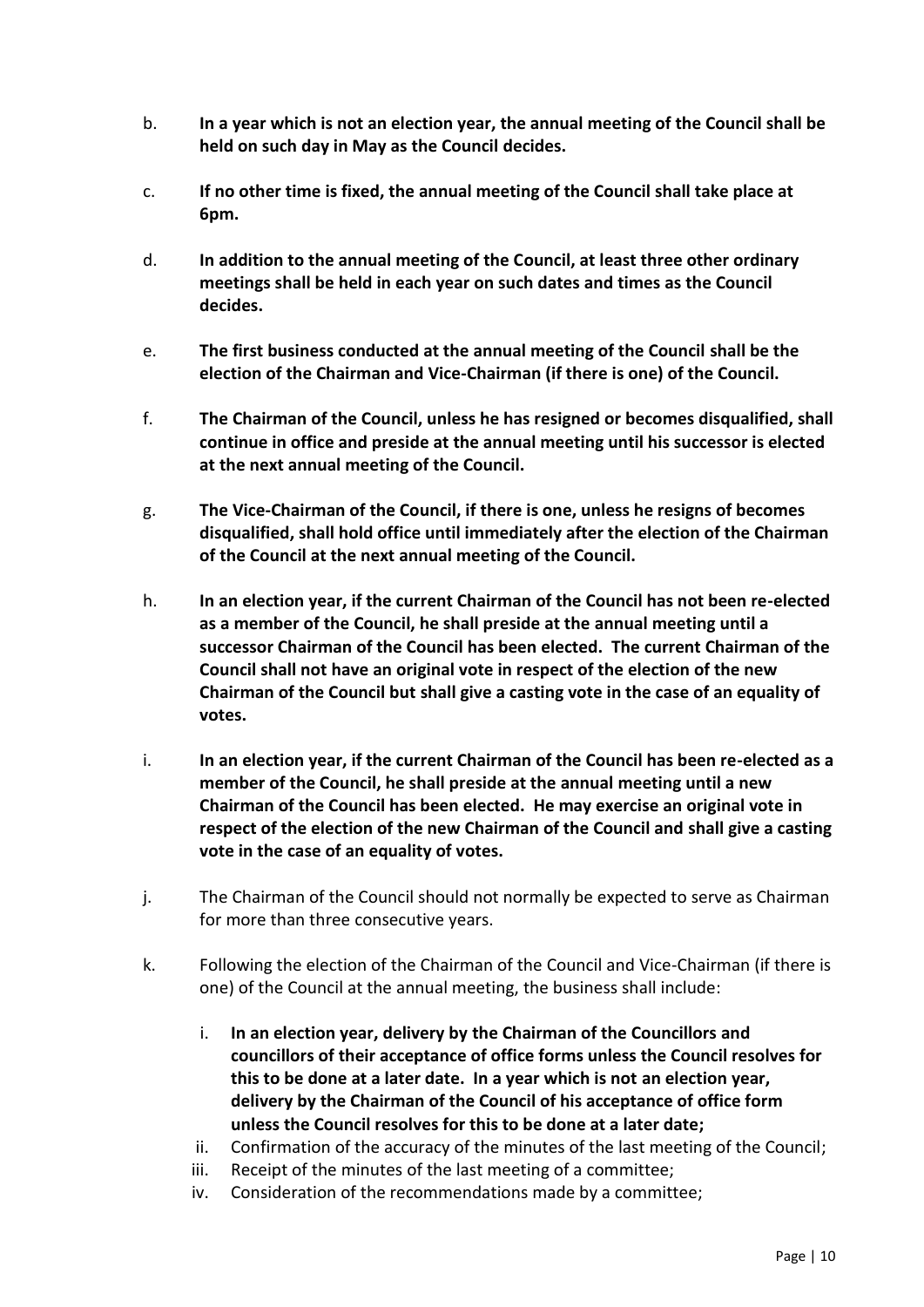- b. **In a year which is not an election year, the annual meeting of the Council shall be held on such day in May as the Council decides.**
- c. **If no other time is fixed, the annual meeting of the Council shall take place at 6pm.**
- d. **In addition to the annual meeting of the Council, at least three other ordinary meetings shall be held in each year on such dates and times as the Council decides.**
- e. **The first business conducted at the annual meeting of the Council shall be the election of the Chairman and Vice-Chairman (if there is one) of the Council.**
- f. **The Chairman of the Council, unless he has resigned or becomes disqualified, shall continue in office and preside at the annual meeting until his successor is elected at the next annual meeting of the Council.**
- g. **The Vice-Chairman of the Council, if there is one, unless he resigns of becomes disqualified, shall hold office until immediately after the election of the Chairman of the Council at the next annual meeting of the Council.**
- h. **In an election year, if the current Chairman of the Council has not been re-elected as a member of the Council, he shall preside at the annual meeting until a successor Chairman of the Council has been elected. The current Chairman of the Council shall not have an original vote in respect of the election of the new Chairman of the Council but shall give a casting vote in the case of an equality of votes.**
- i. **In an election year, if the current Chairman of the Council has been re-elected as a member of the Council, he shall preside at the annual meeting until a new Chairman of the Council has been elected. He may exercise an original vote in respect of the election of the new Chairman of the Council and shall give a casting vote in the case of an equality of votes.**
- j. The Chairman of the Council should not normally be expected to serve as Chairman for more than three consecutive years.
- k. Following the election of the Chairman of the Council and Vice-Chairman (if there is one) of the Council at the annual meeting, the business shall include:
	- i. **In an election year, delivery by the Chairman of the Councillors and councillors of their acceptance of office forms unless the Council resolves for this to be done at a later date. In a year which is not an election year, delivery by the Chairman of the Council of his acceptance of office form unless the Council resolves for this to be done at a later date;**
	- ii. Confirmation of the accuracy of the minutes of the last meeting of the Council;
	- iii. Receipt of the minutes of the last meeting of a committee;
	- iv. Consideration of the recommendations made by a committee;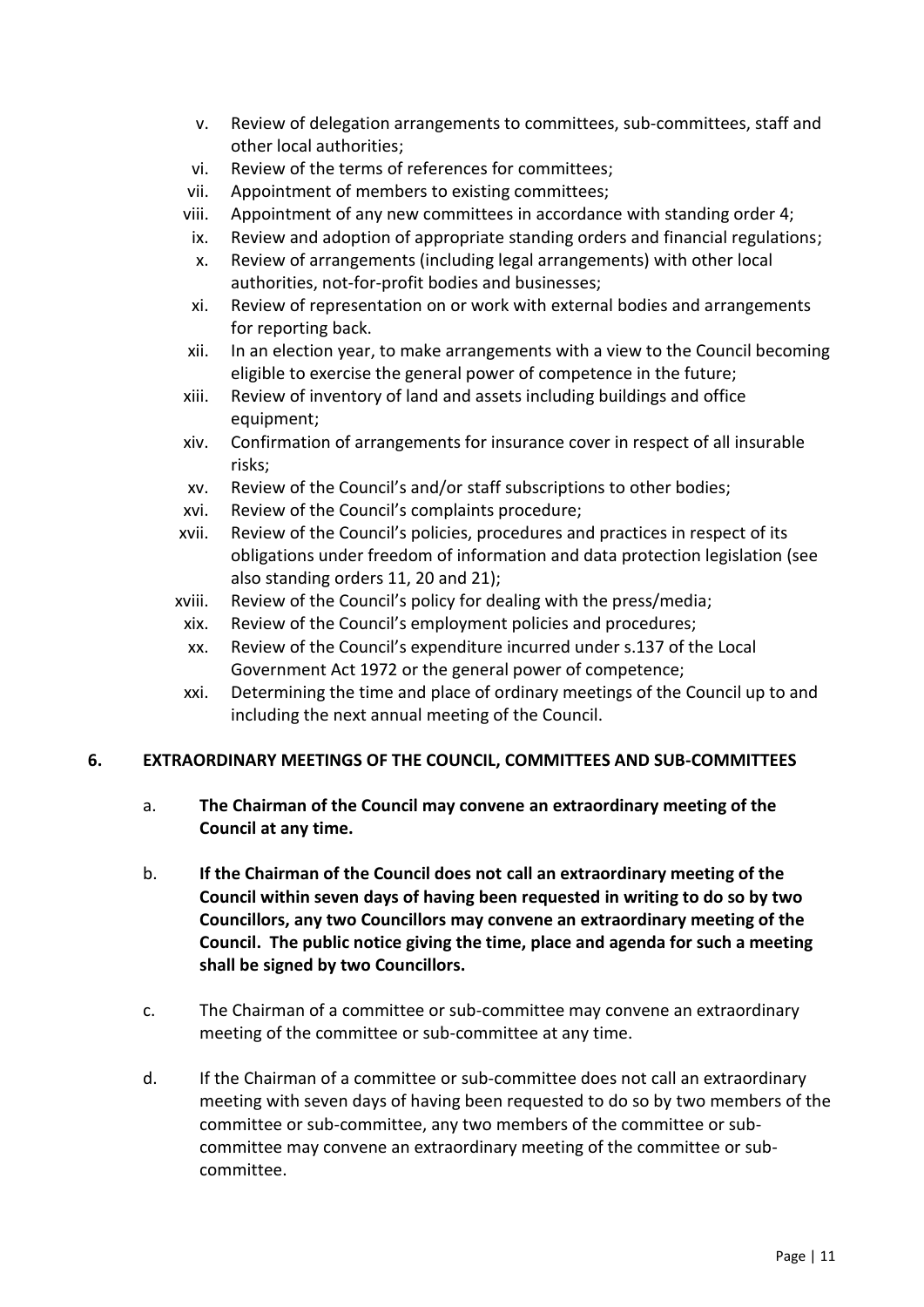- v. Review of delegation arrangements to committees, sub-committees, staff and other local authorities;
- vi. Review of the terms of references for committees;
- vii. Appointment of members to existing committees;
- viii. Appointment of any new committees in accordance with standing order 4;
- ix. Review and adoption of appropriate standing orders and financial regulations;
- x. Review of arrangements (including legal arrangements) with other local authorities, not-for-profit bodies and businesses;
- xi. Review of representation on or work with external bodies and arrangements for reporting back.
- xii. In an election year, to make arrangements with a view to the Council becoming eligible to exercise the general power of competence in the future;
- xiii. Review of inventory of land and assets including buildings and office equipment:
- xiv. Confirmation of arrangements for insurance cover in respect of all insurable risks;
- xv. Review of the Council's and/or staff subscriptions to other bodies;
- xvi. Review of the Council's complaints procedure;
- xvii. Review of the Council's policies, procedures and practices in respect of its obligations under freedom of information and data protection legislation (see also standing orders 11, 20 and 21);
- xviii. Review of the Council's policy for dealing with the press/media;
	- xix. Review of the Council's employment policies and procedures;
	- xx. Review of the Council's expenditure incurred under s.137 of the Local Government Act 1972 or the general power of competence;
	- xxi. Determining the time and place of ordinary meetings of the Council up to and including the next annual meeting of the Council.

# <span id="page-10-0"></span>**6. EXTRAORDINARY MEETINGS OF THE COUNCIL, COMMITTEES AND SUB-COMMITTEES**

- a. **The Chairman of the Council may convene an extraordinary meeting of the Council at any time.**
- b. **If the Chairman of the Council does not call an extraordinary meeting of the Council within seven days of having been requested in writing to do so by two Councillors, any two Councillors may convene an extraordinary meeting of the Council. The public notice giving the time, place and agenda for such a meeting shall be signed by two Councillors.**
- c. The Chairman of a committee or sub-committee may convene an extraordinary meeting of the committee or sub-committee at any time.
- d. If the Chairman of a committee or sub-committee does not call an extraordinary meeting with seven days of having been requested to do so by two members of the committee or sub-committee, any two members of the committee or subcommittee may convene an extraordinary meeting of the committee or subcommittee.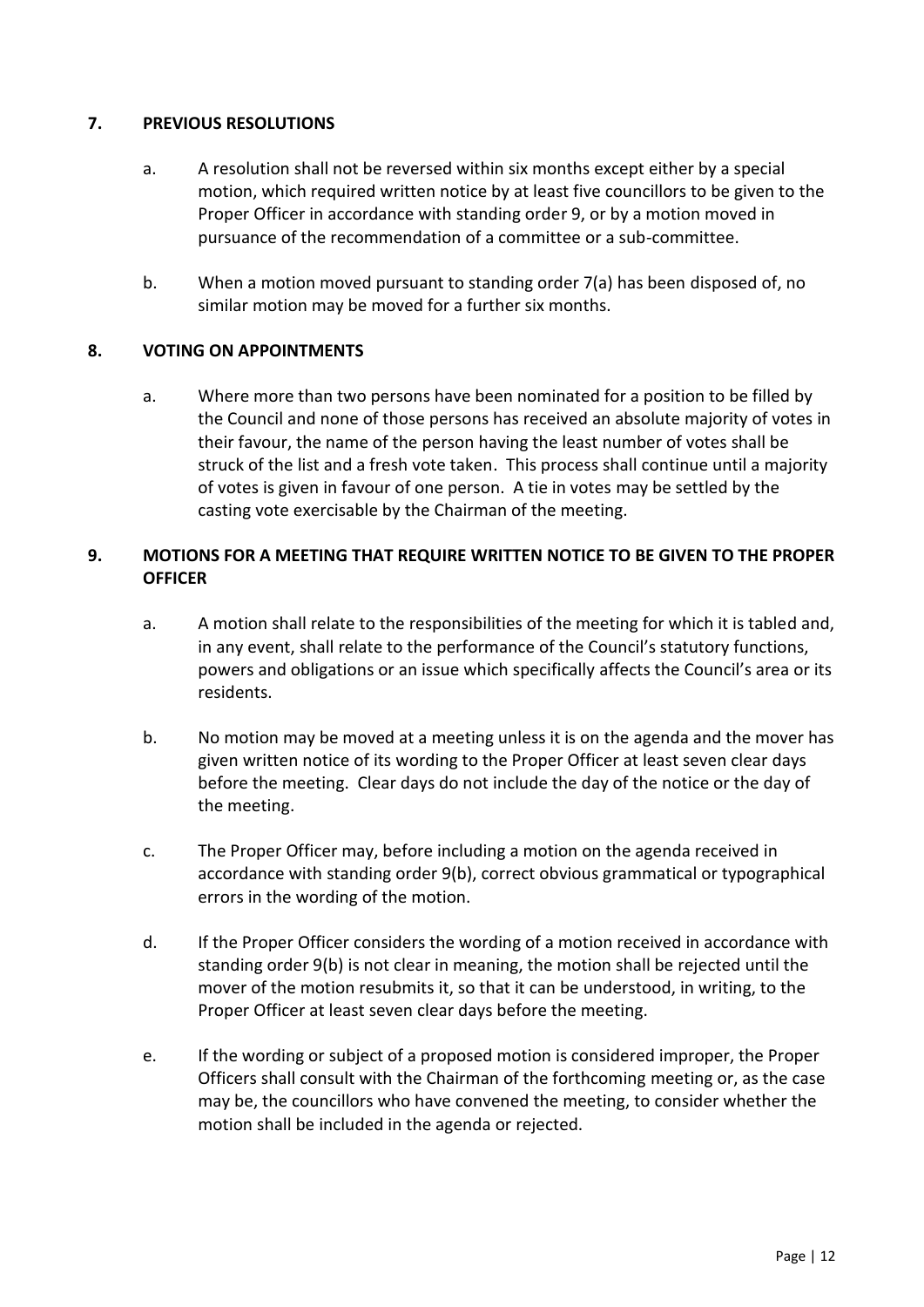# <span id="page-11-0"></span>**7. PREVIOUS RESOLUTIONS**

- a. A resolution shall not be reversed within six months except either by a special motion, which required written notice by at least five councillors to be given to the Proper Officer in accordance with standing order 9, or by a motion moved in pursuance of the recommendation of a committee or a sub-committee.
- b. When a motion moved pursuant to standing order 7(a) has been disposed of, no similar motion may be moved for a further six months.

# <span id="page-11-1"></span>**8. VOTING ON APPOINTMENTS**

a. Where more than two persons have been nominated for a position to be filled by the Council and none of those persons has received an absolute majority of votes in their favour, the name of the person having the least number of votes shall be struck of the list and a fresh vote taken. This process shall continue until a majority of votes is given in favour of one person. A tie in votes may be settled by the casting vote exercisable by the Chairman of the meeting.

# <span id="page-11-2"></span>**9. MOTIONS FOR A MEETING THAT REQUIRE WRITTEN NOTICE TO BE GIVEN TO THE PROPER OFFICER**

- a. A motion shall relate to the responsibilities of the meeting for which it is tabled and, in any event, shall relate to the performance of the Council's statutory functions, powers and obligations or an issue which specifically affects the Council's area or its residents.
- b. No motion may be moved at a meeting unless it is on the agenda and the mover has given written notice of its wording to the Proper Officer at least seven clear days before the meeting. Clear days do not include the day of the notice or the day of the meeting.
- c. The Proper Officer may, before including a motion on the agenda received in accordance with standing order 9(b), correct obvious grammatical or typographical errors in the wording of the motion.
- d. If the Proper Officer considers the wording of a motion received in accordance with standing order 9(b) is not clear in meaning, the motion shall be rejected until the mover of the motion resubmits it, so that it can be understood, in writing, to the Proper Officer at least seven clear days before the meeting.
- e. If the wording or subject of a proposed motion is considered improper, the Proper Officers shall consult with the Chairman of the forthcoming meeting or, as the case may be, the councillors who have convened the meeting, to consider whether the motion shall be included in the agenda or rejected.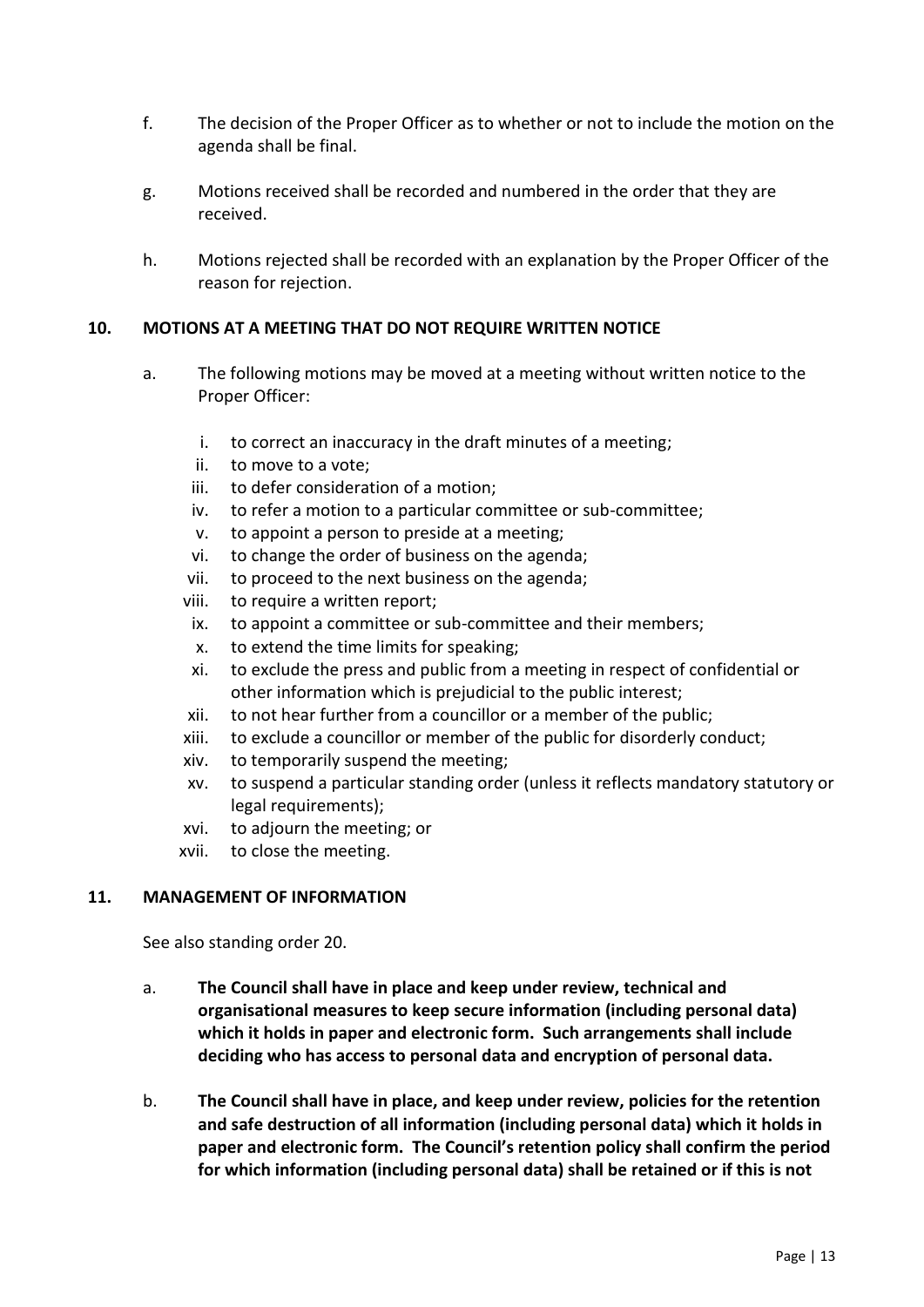- f. The decision of the Proper Officer as to whether or not to include the motion on the agenda shall be final.
- g. Motions received shall be recorded and numbered in the order that they are received.
- h. Motions rejected shall be recorded with an explanation by the Proper Officer of the reason for rejection.

# <span id="page-12-0"></span>**10. MOTIONS AT A MEETING THAT DO NOT REQUIRE WRITTEN NOTICE**

- a. The following motions may be moved at a meeting without written notice to the Proper Officer:
	- i. to correct an inaccuracy in the draft minutes of a meeting;
	- ii. to move to a vote;
	- iii. to defer consideration of a motion;
	- iv. to refer a motion to a particular committee or sub-committee;
	- v. to appoint a person to preside at a meeting;
	- vi. to change the order of business on the agenda;
	- vii. to proceed to the next business on the agenda;
	- viii. to require a written report;
	- ix. to appoint a committee or sub-committee and their members;
	- x. to extend the time limits for speaking;
	- xi. to exclude the press and public from a meeting in respect of confidential or other information which is prejudicial to the public interest;
	- xii. to not hear further from a councillor or a member of the public;
	- xiii. to exclude a councillor or member of the public for disorderly conduct;
	- xiv. to temporarily suspend the meeting;
	- xv. to suspend a particular standing order (unless it reflects mandatory statutory or legal requirements);
	- xvi. to adjourn the meeting; or
	- xvii. to close the meeting.

#### <span id="page-12-1"></span>**11. MANAGEMENT OF INFORMATION**

See also standing order 20.

- a. **The Council shall have in place and keep under review, technical and organisational measures to keep secure information (including personal data) which it holds in paper and electronic form. Such arrangements shall include deciding who has access to personal data and encryption of personal data.**
- b. **The Council shall have in place, and keep under review, policies for the retention and safe destruction of all information (including personal data) which it holds in paper and electronic form. The Council's retention policy shall confirm the period for which information (including personal data) shall be retained or if this is not**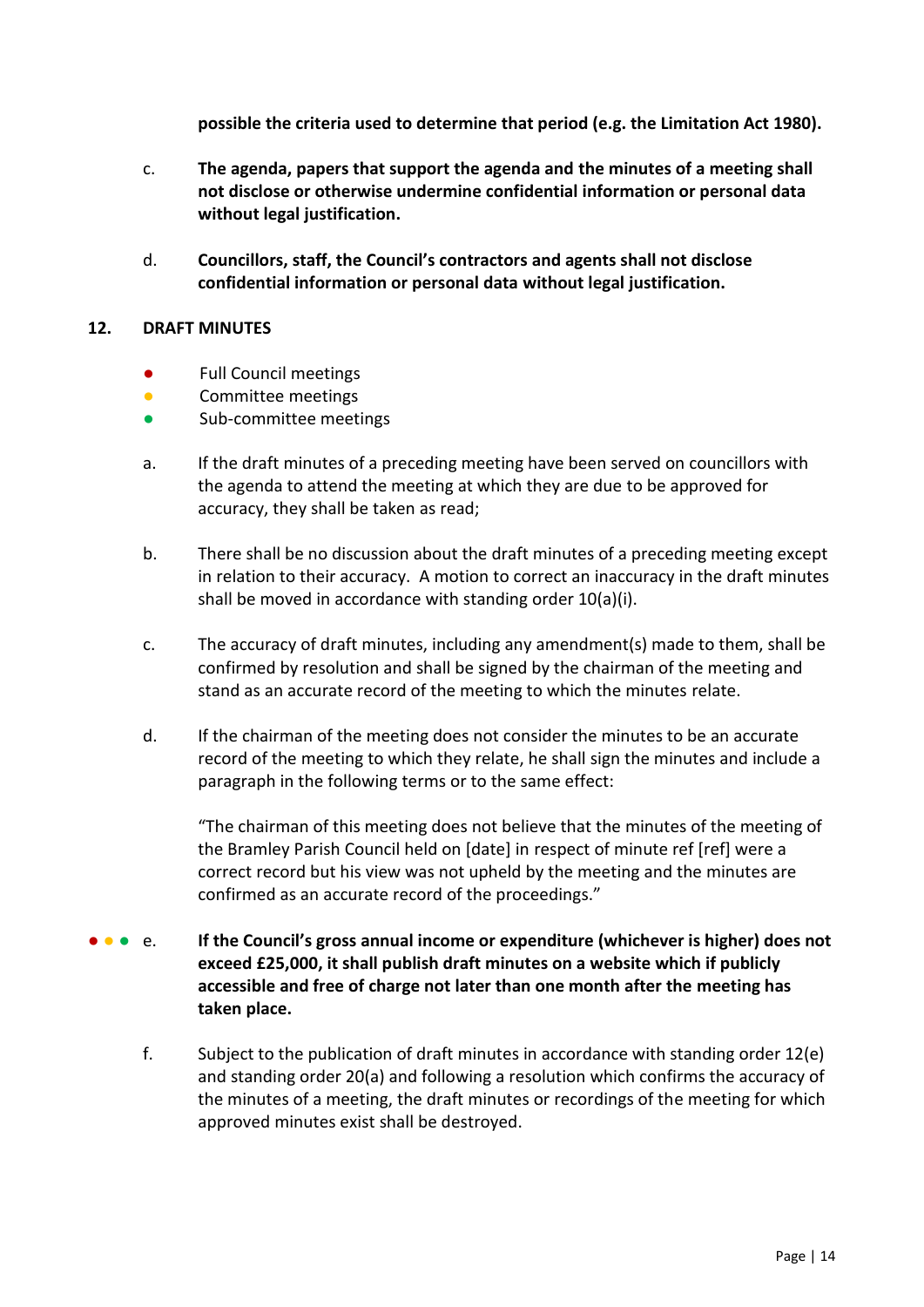**possible the criteria used to determine that period (e.g. the Limitation Act 1980).**

- c. **The agenda, papers that support the agenda and the minutes of a meeting shall not disclose or otherwise undermine confidential information or personal data without legal justification.**
- d. **Councillors, staff, the Council's contractors and agents shall not disclose confidential information or personal data without legal justification.**

# <span id="page-13-0"></span>**12. DRAFT MINUTES**

- Full Council meetings
- **Committee meetings**
- Sub-committee meetings
- a. If the draft minutes of a preceding meeting have been served on councillors with the agenda to attend the meeting at which they are due to be approved for accuracy, they shall be taken as read;
- b. There shall be no discussion about the draft minutes of a preceding meeting except in relation to their accuracy. A motion to correct an inaccuracy in the draft minutes shall be moved in accordance with standing order 10(a)(i).
- c. The accuracy of draft minutes, including any amendment(s) made to them, shall be confirmed by resolution and shall be signed by the chairman of the meeting and stand as an accurate record of the meeting to which the minutes relate.
- d. If the chairman of the meeting does not consider the minutes to be an accurate record of the meeting to which they relate, he shall sign the minutes and include a paragraph in the following terms or to the same effect:

"The chairman of this meeting does not believe that the minutes of the meeting of the Bramley Parish Council held on [date] in respect of minute ref [ref] were a correct record but his view was not upheld by the meeting and the minutes are confirmed as an accurate record of the proceedings."

- **● ●** e. If the Council's gross annual income or expenditure (whichever is higher) does not **exceed £25,000, it shall publish draft minutes on a website which if publicly accessible and free of charge not later than one month after the meeting has taken place.**
	- f. Subject to the publication of draft minutes in accordance with standing order 12(e) and standing order 20(a) and following a resolution which confirms the accuracy of the minutes of a meeting, the draft minutes or recordings of the meeting for which approved minutes exist shall be destroyed.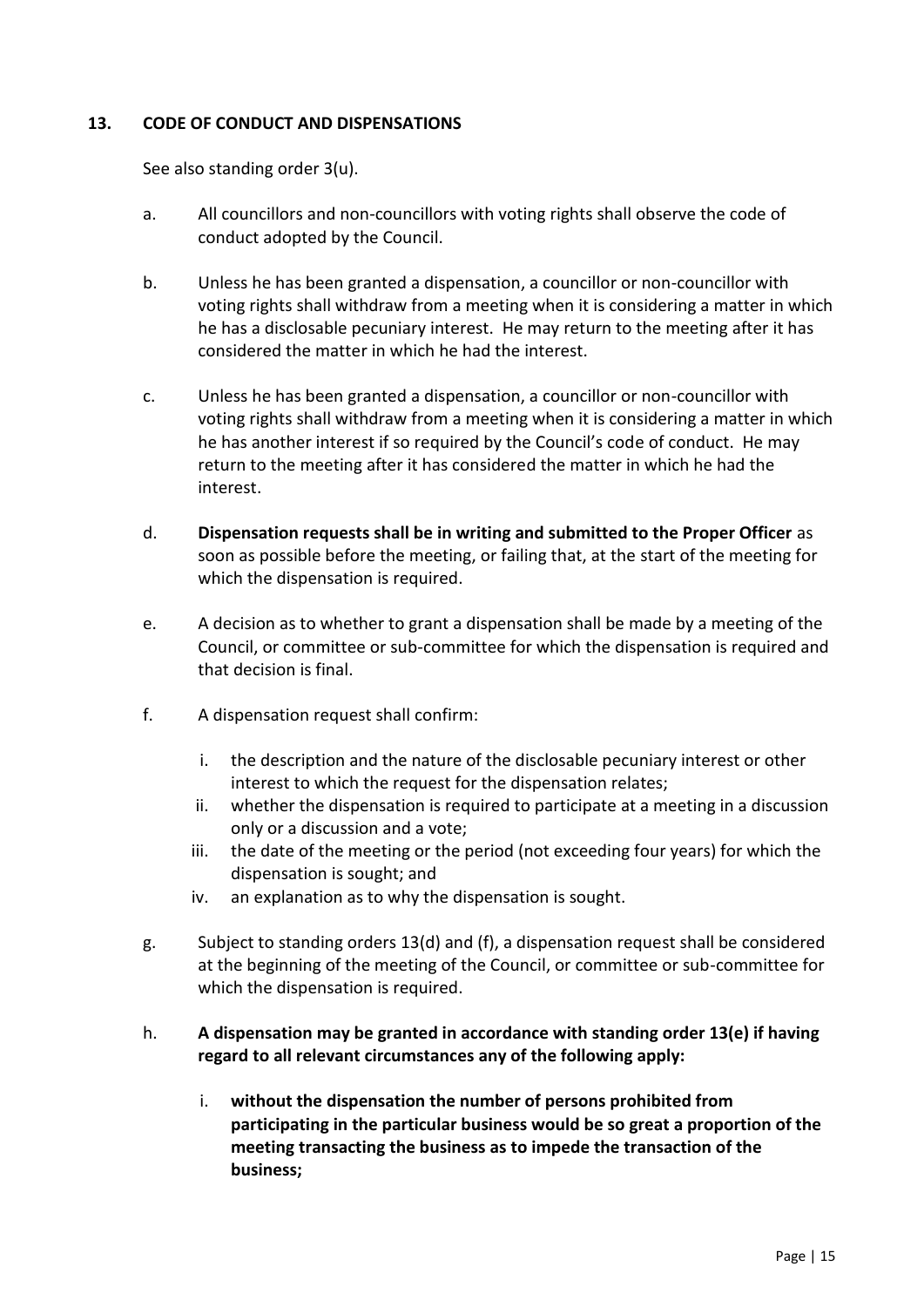# <span id="page-14-0"></span>**13. CODE OF CONDUCT AND DISPENSATIONS**

See also standing order 3(u).

- a. All councillors and non-councillors with voting rights shall observe the code of conduct adopted by the Council.
- b. Unless he has been granted a dispensation, a councillor or non-councillor with voting rights shall withdraw from a meeting when it is considering a matter in which he has a disclosable pecuniary interest. He may return to the meeting after it has considered the matter in which he had the interest.
- c. Unless he has been granted a dispensation, a councillor or non-councillor with voting rights shall withdraw from a meeting when it is considering a matter in which he has another interest if so required by the Council's code of conduct. He may return to the meeting after it has considered the matter in which he had the interest.
- d. **Dispensation requests shall be in writing and submitted to the Proper Officer** as soon as possible before the meeting, or failing that, at the start of the meeting for which the dispensation is required.
- e. A decision as to whether to grant a dispensation shall be made by a meeting of the Council, or committee or sub-committee for which the dispensation is required and that decision is final.
- f. A dispensation request shall confirm:
	- i. the description and the nature of the disclosable pecuniary interest or other interest to which the request for the dispensation relates;
	- ii. whether the dispensation is required to participate at a meeting in a discussion only or a discussion and a vote;
	- iii. the date of the meeting or the period (not exceeding four years) for which the dispensation is sought; and
	- iv. an explanation as to why the dispensation is sought.
- g. Subject to standing orders 13(d) and (f), a dispensation request shall be considered at the beginning of the meeting of the Council, or committee or sub-committee for which the dispensation is required.

# h. **A dispensation may be granted in accordance with standing order 13(e) if having regard to all relevant circumstances any of the following apply:**

i. **without the dispensation the number of persons prohibited from participating in the particular business would be so great a proportion of the meeting transacting the business as to impede the transaction of the business;**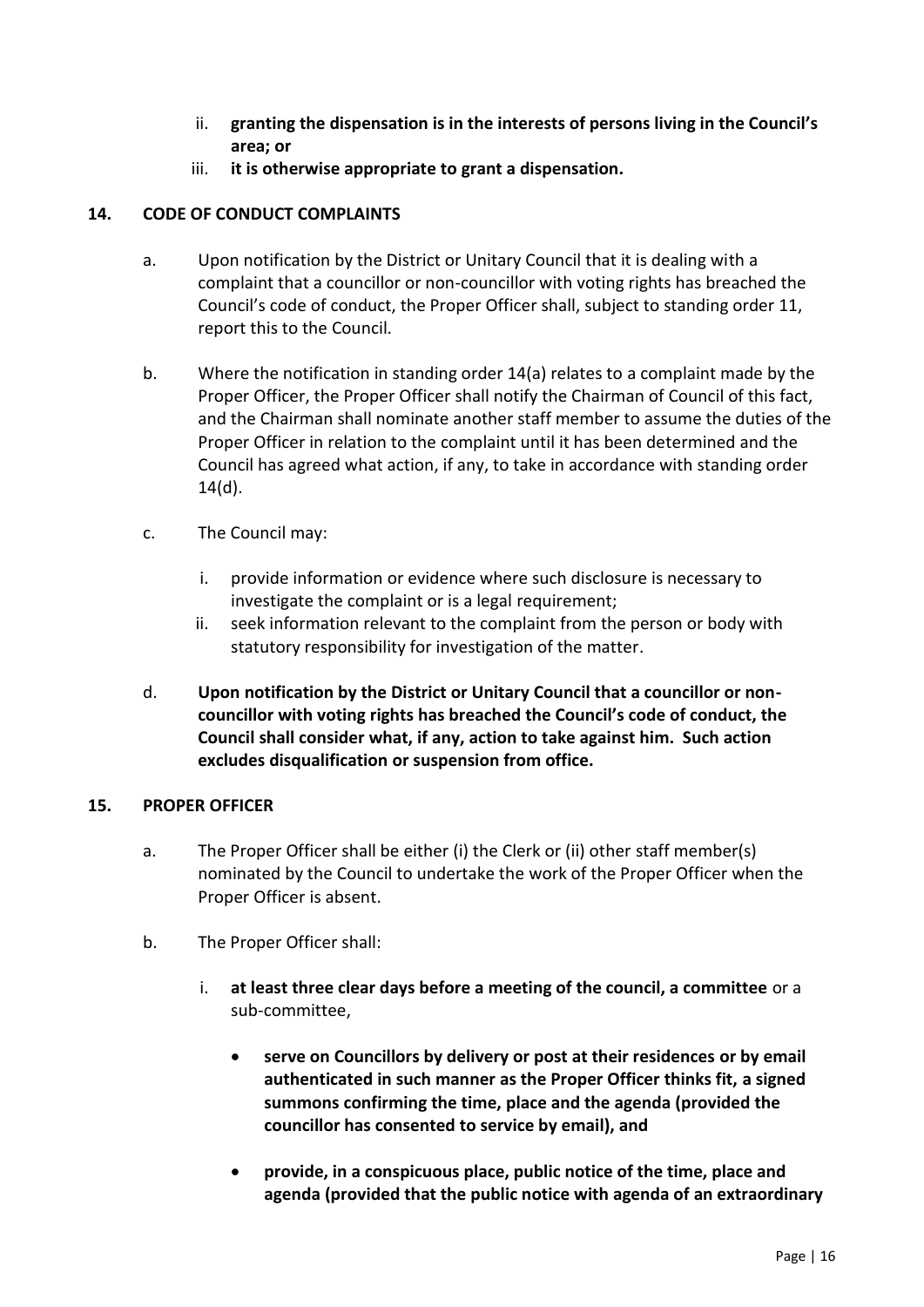- ii. **granting the dispensation is in the interests of persons living in the Council's area; or**
- iii. **it is otherwise appropriate to grant a dispensation.**

# <span id="page-15-0"></span>**14. CODE OF CONDUCT COMPLAINTS**

- a. Upon notification by the District or Unitary Council that it is dealing with a complaint that a councillor or non-councillor with voting rights has breached the Council's code of conduct, the Proper Officer shall, subject to standing order 11, report this to the Council.
- b. Where the notification in standing order 14(a) relates to a complaint made by the Proper Officer, the Proper Officer shall notify the Chairman of Council of this fact, and the Chairman shall nominate another staff member to assume the duties of the Proper Officer in relation to the complaint until it has been determined and the Council has agreed what action, if any, to take in accordance with standing order 14(d).
- c. The Council may:
	- i. provide information or evidence where such disclosure is necessary to investigate the complaint or is a legal requirement;
	- ii. seek information relevant to the complaint from the person or body with statutory responsibility for investigation of the matter.
- d. **Upon notification by the District or Unitary Council that a councillor or noncouncillor with voting rights has breached the Council's code of conduct, the Council shall consider what, if any, action to take against him. Such action excludes disqualification or suspension from office.**

# <span id="page-15-1"></span>**15. PROPER OFFICER**

- a. The Proper Officer shall be either (i) the Clerk or (ii) other staff member(s) nominated by the Council to undertake the work of the Proper Officer when the Proper Officer is absent.
- b. The Proper Officer shall:
	- i. **at least three clear days before a meeting of the council, a committee** or a sub-committee,
		- **serve on Councillors by delivery or post at their residences or by email authenticated in such manner as the Proper Officer thinks fit, a signed summons confirming the time, place and the agenda (provided the councillor has consented to service by email), and**
		- **provide, in a conspicuous place, public notice of the time, place and agenda (provided that the public notice with agenda of an extraordinary**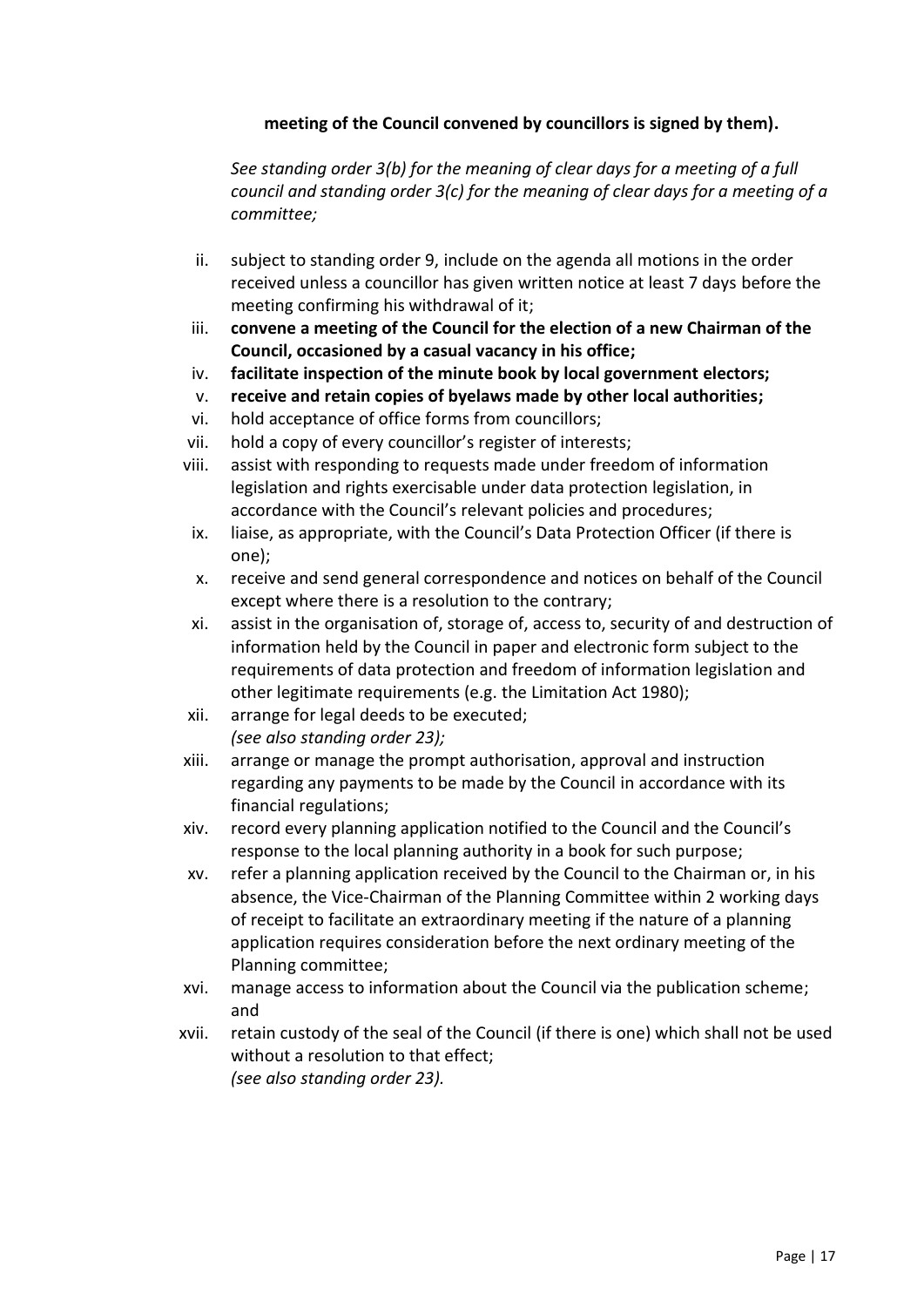# **meeting of the Council convened by councillors is signed by them).**

*See standing order 3(b) for the meaning of clear days for a meeting of a full council and standing order 3(c) for the meaning of clear days for a meeting of a committee;*

- ii. subject to standing order 9, include on the agenda all motions in the order received unless a councillor has given written notice at least 7 days before the meeting confirming his withdrawal of it;
- iii. **convene a meeting of the Council for the election of a new Chairman of the Council, occasioned by a casual vacancy in his office;**
- iv. **facilitate inspection of the minute book by local government electors;**
- v. **receive and retain copies of byelaws made by other local authorities;**
- vi. hold acceptance of office forms from councillors;
- vii. hold a copy of every councillor's register of interests;
- viii. assist with responding to requests made under freedom of information legislation and rights exercisable under data protection legislation, in accordance with the Council's relevant policies and procedures;
- ix. liaise, as appropriate, with the Council's Data Protection Officer (if there is one);
- x. receive and send general correspondence and notices on behalf of the Council except where there is a resolution to the contrary;
- xi. assist in the organisation of, storage of, access to, security of and destruction of information held by the Council in paper and electronic form subject to the requirements of data protection and freedom of information legislation and other legitimate requirements (e.g. the Limitation Act 1980);
- xii. arrange for legal deeds to be executed; *(see also standing order 23);*
- xiii. arrange or manage the prompt authorisation, approval and instruction regarding any payments to be made by the Council in accordance with its financial regulations;
- xiv. record every planning application notified to the Council and the Council's response to the local planning authority in a book for such purpose;
- xv. refer a planning application received by the Council to the Chairman or, in his absence, the Vice-Chairman of the Planning Committee within 2 working days of receipt to facilitate an extraordinary meeting if the nature of a planning application requires consideration before the next ordinary meeting of the Planning committee;
- xvi. manage access to information about the Council via the publication scheme; and
- xvii. retain custody of the seal of the Council (if there is one) which shall not be used without a resolution to that effect; *(see also standing order 23).*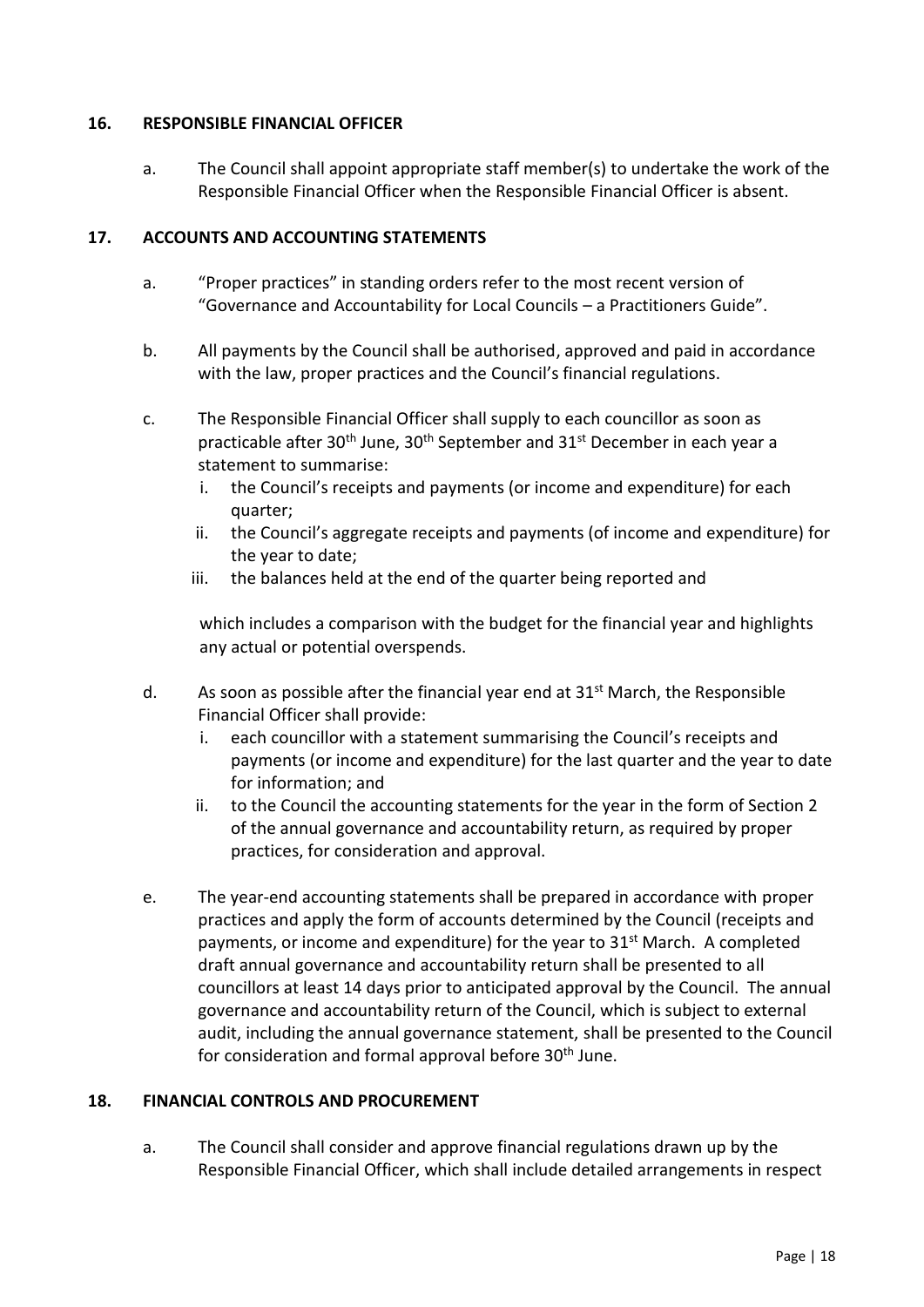# <span id="page-17-0"></span>**16. RESPONSIBLE FINANCIAL OFFICER**

a. The Council shall appoint appropriate staff member(s) to undertake the work of the Responsible Financial Officer when the Responsible Financial Officer is absent.

# <span id="page-17-1"></span>**17. ACCOUNTS AND ACCOUNTING STATEMENTS**

- a. "Proper practices" in standing orders refer to the most recent version of "Governance and Accountability for Local Councils – a Practitioners Guide".
- b. All payments by the Council shall be authorised, approved and paid in accordance with the law, proper practices and the Council's financial regulations.
- c. The Responsible Financial Officer shall supply to each councillor as soon as practicable after 30<sup>th</sup> June, 30<sup>th</sup> September and 31<sup>st</sup> December in each year a statement to summarise:
	- i. the Council's receipts and payments (or income and expenditure) for each quarter;
	- ii. the Council's aggregate receipts and payments (of income and expenditure) for the year to date;
	- iii. the balances held at the end of the quarter being reported and

which includes a comparison with the budget for the financial year and highlights any actual or potential overspends.

- d. As soon as possible after the financial year end at  $31<sup>st</sup>$  March, the Responsible Financial Officer shall provide:
	- i. each councillor with a statement summarising the Council's receipts and payments (or income and expenditure) for the last quarter and the year to date for information; and
	- ii. to the Council the accounting statements for the year in the form of Section 2 of the annual governance and accountability return, as required by proper practices, for consideration and approval.
- e. The year-end accounting statements shall be prepared in accordance with proper practices and apply the form of accounts determined by the Council (receipts and payments, or income and expenditure) for the year to 31<sup>st</sup> March. A completed draft annual governance and accountability return shall be presented to all councillors at least 14 days prior to anticipated approval by the Council. The annual governance and accountability return of the Council, which is subject to external audit, including the annual governance statement, shall be presented to the Council for consideration and formal approval before 30<sup>th</sup> June.

# <span id="page-17-2"></span>**18. FINANCIAL CONTROLS AND PROCUREMENT**

a. The Council shall consider and approve financial regulations drawn up by the Responsible Financial Officer, which shall include detailed arrangements in respect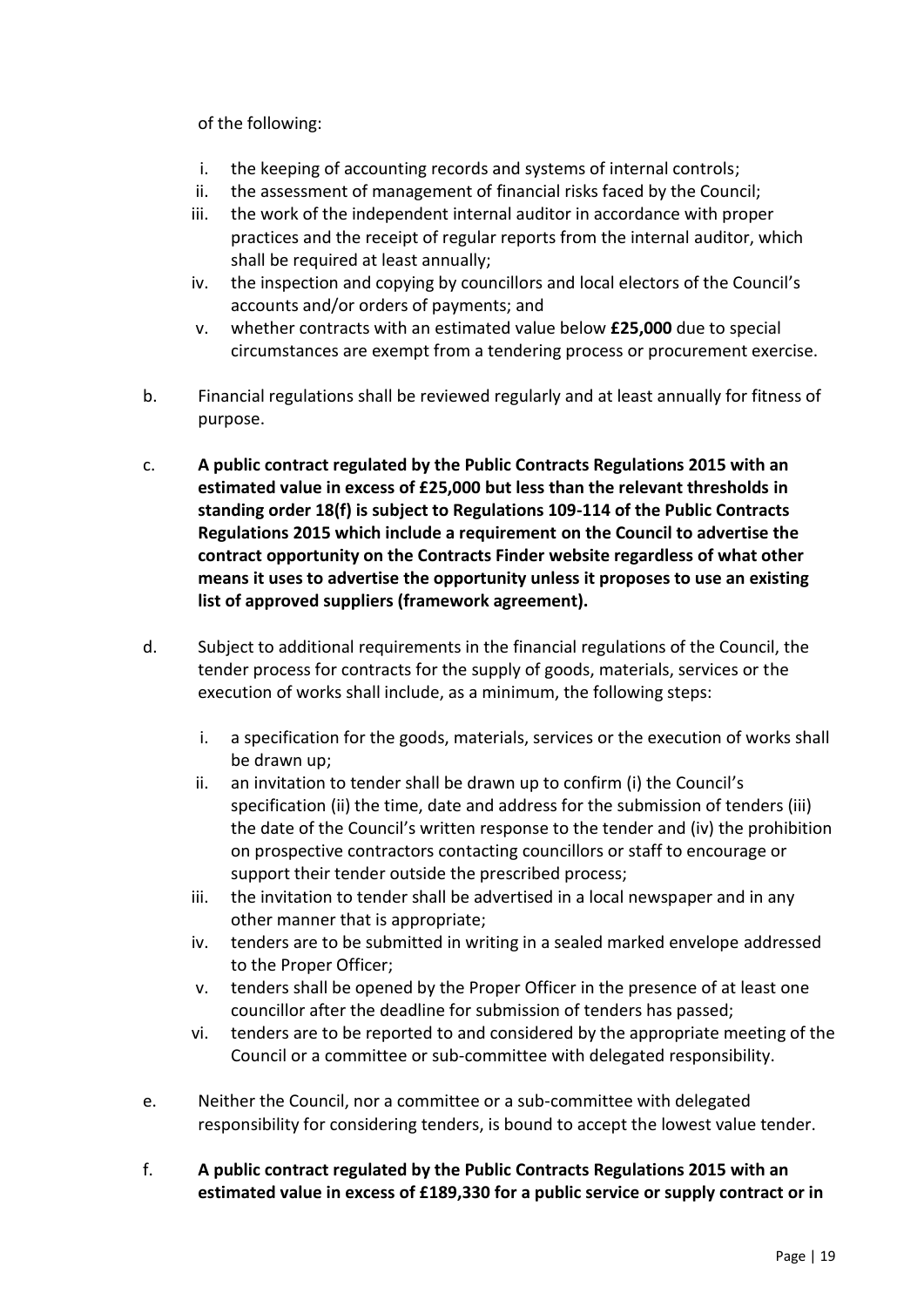of the following:

- i. the keeping of accounting records and systems of internal controls;
- ii. the assessment of management of financial risks faced by the Council;
- iii. the work of the independent internal auditor in accordance with proper practices and the receipt of regular reports from the internal auditor, which shall be required at least annually;
- iv. the inspection and copying by councillors and local electors of the Council's accounts and/or orders of payments; and
- v. whether contracts with an estimated value below **£25,000** due to special circumstances are exempt from a tendering process or procurement exercise.
- b. Financial regulations shall be reviewed regularly and at least annually for fitness of purpose.
- c. **A public contract regulated by the Public Contracts Regulations 2015 with an estimated value in excess of £25,000 but less than the relevant thresholds in standing order 18(f) is subject to Regulations 109-114 of the Public Contracts Regulations 2015 which include a requirement on the Council to advertise the contract opportunity on the Contracts Finder website regardless of what other means it uses to advertise the opportunity unless it proposes to use an existing list of approved suppliers (framework agreement).**
- d. Subject to additional requirements in the financial regulations of the Council, the tender process for contracts for the supply of goods, materials, services or the execution of works shall include, as a minimum, the following steps:
	- i. a specification for the goods, materials, services or the execution of works shall be drawn up;
	- ii. an invitation to tender shall be drawn up to confirm (i) the Council's specification (ii) the time, date and address for the submission of tenders (iii) the date of the Council's written response to the tender and (iv) the prohibition on prospective contractors contacting councillors or staff to encourage or support their tender outside the prescribed process;
	- iii. the invitation to tender shall be advertised in a local newspaper and in any other manner that is appropriate;
	- iv. tenders are to be submitted in writing in a sealed marked envelope addressed to the Proper Officer;
	- v. tenders shall be opened by the Proper Officer in the presence of at least one councillor after the deadline for submission of tenders has passed;
	- vi. tenders are to be reported to and considered by the appropriate meeting of the Council or a committee or sub-committee with delegated responsibility.
- e. Neither the Council, nor a committee or a sub-committee with delegated responsibility for considering tenders, is bound to accept the lowest value tender.
- f. **A public contract regulated by the Public Contracts Regulations 2015 with an estimated value in excess of £189,330 for a public service or supply contract or in**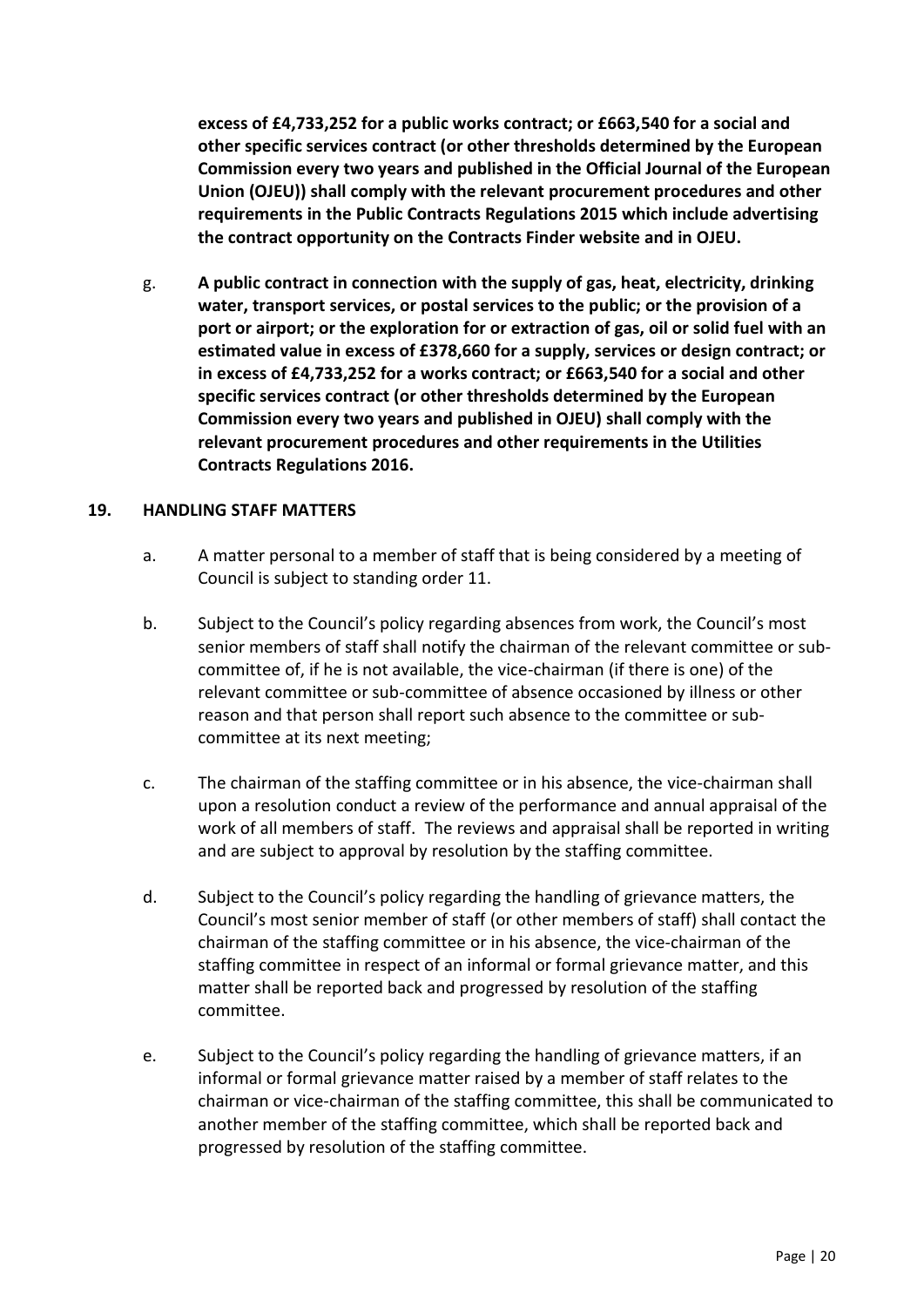**excess of £4,733,252 for a public works contract; or £663,540 for a social and other specific services contract (or other thresholds determined by the European Commission every two years and published in the Official Journal of the European Union (OJEU)) shall comply with the relevant procurement procedures and other requirements in the Public Contracts Regulations 2015 which include advertising the contract opportunity on the Contracts Finder website and in OJEU.**

g. **A public contract in connection with the supply of gas, heat, electricity, drinking water, transport services, or postal services to the public; or the provision of a port or airport; or the exploration for or extraction of gas, oil or solid fuel with an estimated value in excess of £378,660 for a supply, services or design contract; or in excess of £4,733,252 for a works contract; or £663,540 for a social and other specific services contract (or other thresholds determined by the European Commission every two years and published in OJEU) shall comply with the relevant procurement procedures and other requirements in the Utilities Contracts Regulations 2016.**

#### <span id="page-19-0"></span>**19. HANDLING STAFF MATTERS**

- a. A matter personal to a member of staff that is being considered by a meeting of Council is subject to standing order 11.
- b. Subject to the Council's policy regarding absences from work, the Council's most senior members of staff shall notify the chairman of the relevant committee or subcommittee of, if he is not available, the vice-chairman (if there is one) of the relevant committee or sub-committee of absence occasioned by illness or other reason and that person shall report such absence to the committee or subcommittee at its next meeting;
- c. The chairman of the staffing committee or in his absence, the vice-chairman shall upon a resolution conduct a review of the performance and annual appraisal of the work of all members of staff. The reviews and appraisal shall be reported in writing and are subject to approval by resolution by the staffing committee.
- d. Subject to the Council's policy regarding the handling of grievance matters, the Council's most senior member of staff (or other members of staff) shall contact the chairman of the staffing committee or in his absence, the vice-chairman of the staffing committee in respect of an informal or formal grievance matter, and this matter shall be reported back and progressed by resolution of the staffing committee.
- e. Subject to the Council's policy regarding the handling of grievance matters, if an informal or formal grievance matter raised by a member of staff relates to the chairman or vice-chairman of the staffing committee, this shall be communicated to another member of the staffing committee, which shall be reported back and progressed by resolution of the staffing committee.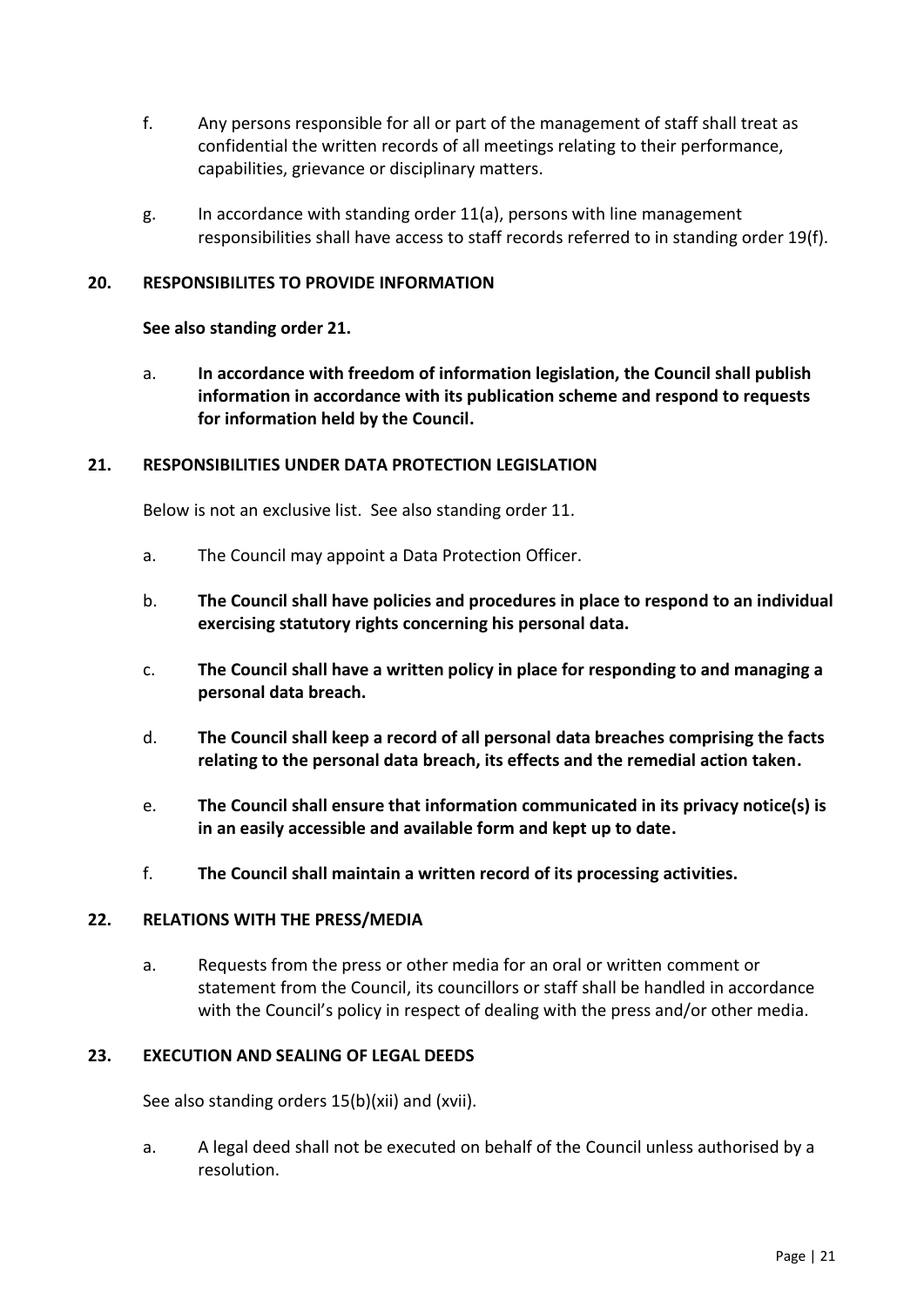- f. Any persons responsible for all or part of the management of staff shall treat as confidential the written records of all meetings relating to their performance, capabilities, grievance or disciplinary matters.
- g. In accordance with standing order 11(a), persons with line management responsibilities shall have access to staff records referred to in standing order 19(f).

#### <span id="page-20-0"></span>**20. RESPONSIBILITES TO PROVIDE INFORMATION**

#### **See also standing order 21.**

a. **In accordance with freedom of information legislation, the Council shall publish information in accordance with its publication scheme and respond to requests for information held by the Council.**

#### <span id="page-20-1"></span>**21. RESPONSIBILITIES UNDER DATA PROTECTION LEGISLATION**

Below is not an exclusive list. See also standing order 11.

- a. The Council may appoint a Data Protection Officer.
- b. **The Council shall have policies and procedures in place to respond to an individual exercising statutory rights concerning his personal data.**
- c. **The Council shall have a written policy in place for responding to and managing a personal data breach.**
- d. **The Council shall keep a record of all personal data breaches comprising the facts relating to the personal data breach, its effects and the remedial action taken.**
- e. **The Council shall ensure that information communicated in its privacy notice(s) is in an easily accessible and available form and kept up to date.**
- f. **The Council shall maintain a written record of its processing activities.**

#### <span id="page-20-2"></span>**22. RELATIONS WITH THE PRESS/MEDIA**

a. Requests from the press or other media for an oral or written comment or statement from the Council, its councillors or staff shall be handled in accordance with the Council's policy in respect of dealing with the press and/or other media.

#### <span id="page-20-3"></span>**23. EXECUTION AND SEALING OF LEGAL DEEDS**

See also standing orders 15(b)(xii) and (xvii).

a. A legal deed shall not be executed on behalf of the Council unless authorised by a resolution.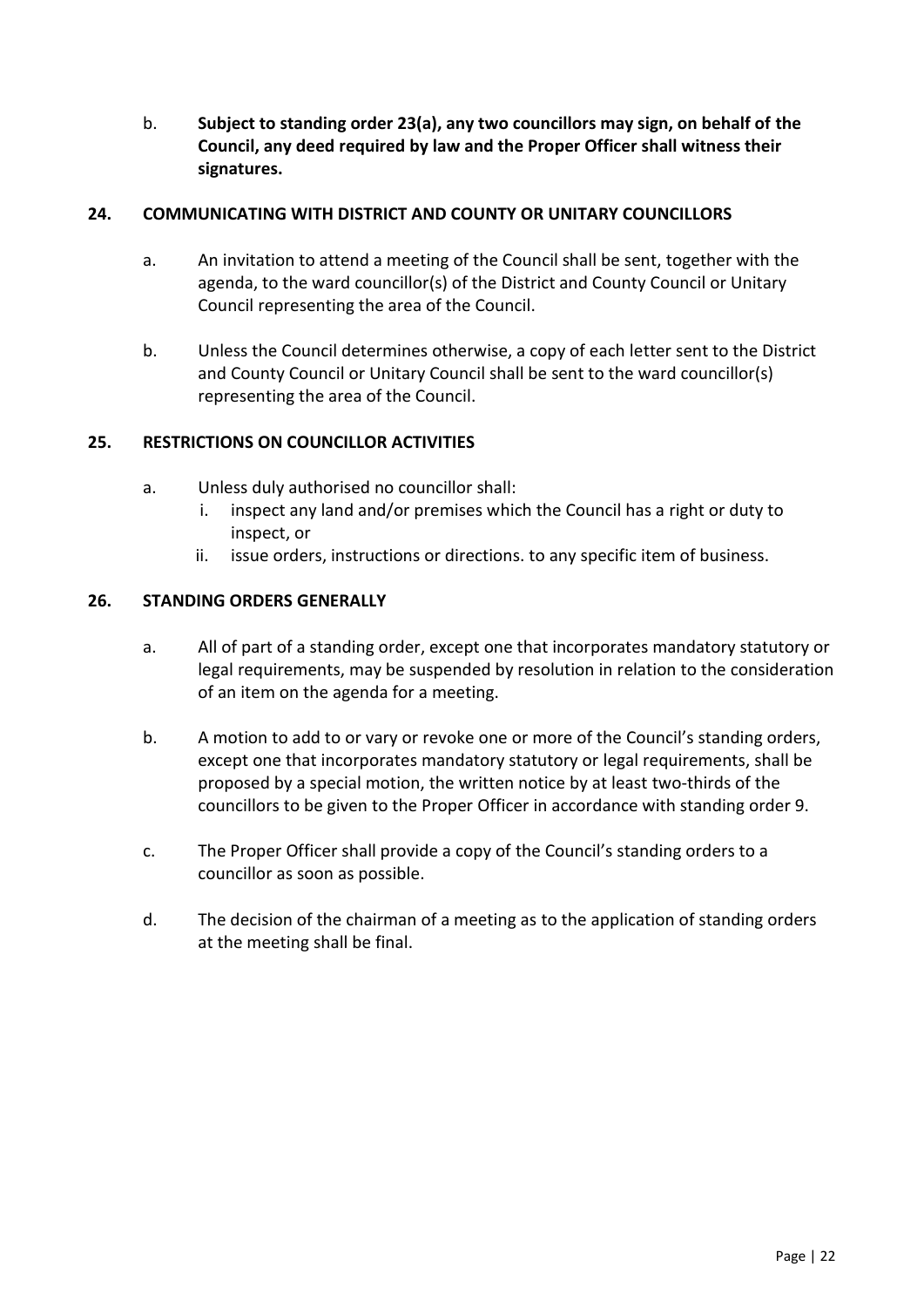b. **Subject to standing order 23(a), any two councillors may sign, on behalf of the Council, any deed required by law and the Proper Officer shall witness their signatures.**

# <span id="page-21-0"></span>**24. COMMUNICATING WITH DISTRICT AND COUNTY OR UNITARY COUNCILLORS**

- a. An invitation to attend a meeting of the Council shall be sent, together with the agenda, to the ward councillor(s) of the District and County Council or Unitary Council representing the area of the Council.
- b. Unless the Council determines otherwise, a copy of each letter sent to the District and County Council or Unitary Council shall be sent to the ward councillor(s) representing the area of the Council.

# <span id="page-21-1"></span>**25. RESTRICTIONS ON COUNCILLOR ACTIVITIES**

- a. Unless duly authorised no councillor shall:
	- i. inspect any land and/or premises which the Council has a right or duty to inspect, or
	- ii. issue orders, instructions or directions. to any specific item of business.

#### <span id="page-21-2"></span>**26. STANDING ORDERS GENERALLY**

- a. All of part of a standing order, except one that incorporates mandatory statutory or legal requirements, may be suspended by resolution in relation to the consideration of an item on the agenda for a meeting.
- b. A motion to add to or vary or revoke one or more of the Council's standing orders, except one that incorporates mandatory statutory or legal requirements, shall be proposed by a special motion, the written notice by at least two-thirds of the councillors to be given to the Proper Officer in accordance with standing order 9.
- c. The Proper Officer shall provide a copy of the Council's standing orders to a councillor as soon as possible.
- d. The decision of the chairman of a meeting as to the application of standing orders at the meeting shall be final.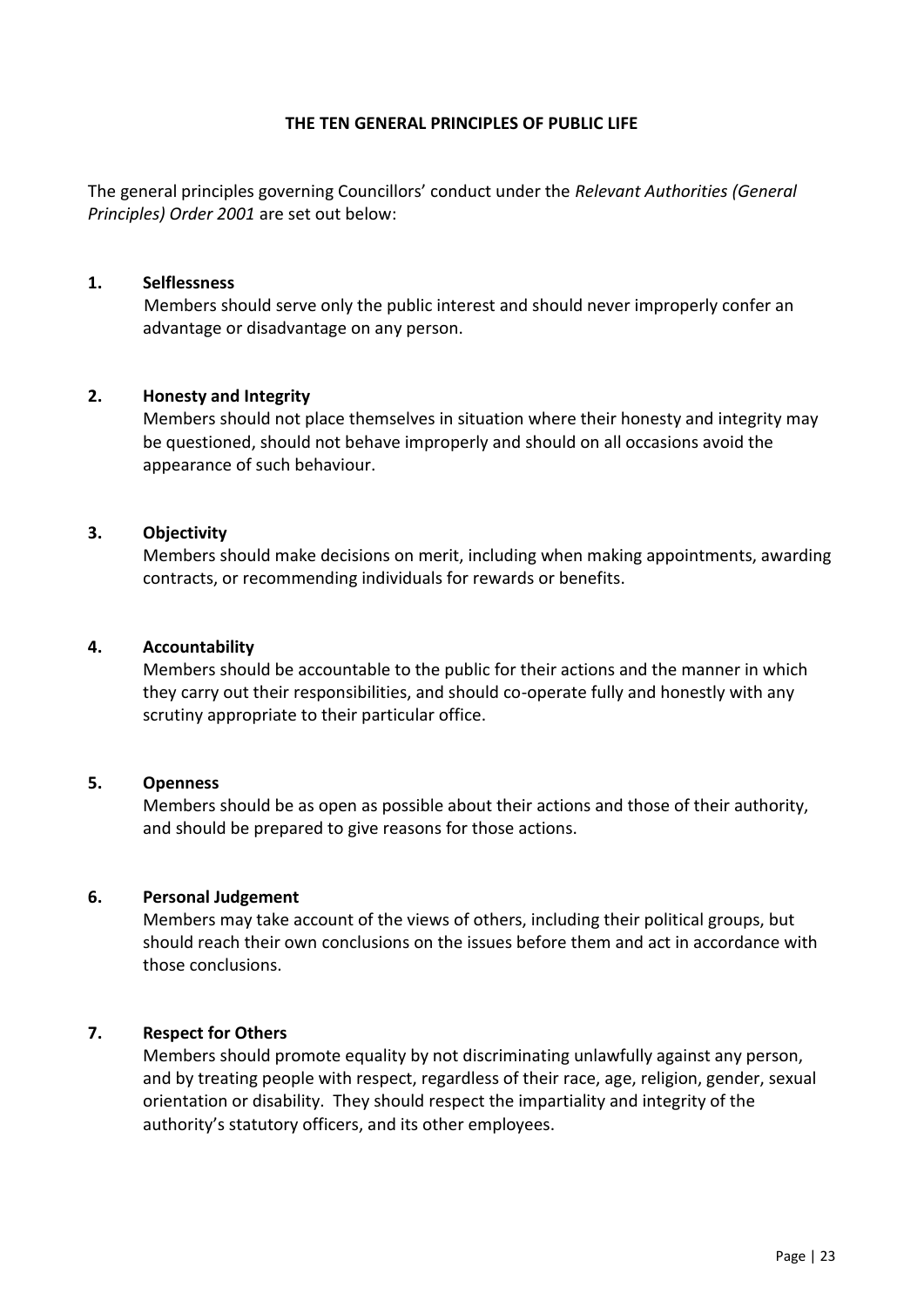#### **THE TEN GENERAL PRINCIPLES OF PUBLIC LIFE**

The general principles governing Councillors' conduct under the *Relevant Authorities (General Principles) Order 2001* are set out below:

#### **1. Selflessness**

Members should serve only the public interest and should never improperly confer an advantage or disadvantage on any person.

#### **2. Honesty and Integrity**

Members should not place themselves in situation where their honesty and integrity may be questioned, should not behave improperly and should on all occasions avoid the appearance of such behaviour.

#### **3. Objectivity**

Members should make decisions on merit, including when making appointments, awarding contracts, or recommending individuals for rewards or benefits.

#### **4. Accountability**

Members should be accountable to the public for their actions and the manner in which they carry out their responsibilities, and should co-operate fully and honestly with any scrutiny appropriate to their particular office.

#### **5. Openness**

Members should be as open as possible about their actions and those of their authority, and should be prepared to give reasons for those actions.

#### **6. Personal Judgement**

Members may take account of the views of others, including their political groups, but should reach their own conclusions on the issues before them and act in accordance with those conclusions.

#### **7. Respect for Others**

Members should promote equality by not discriminating unlawfully against any person, and by treating people with respect, regardless of their race, age, religion, gender, sexual orientation or disability. They should respect the impartiality and integrity of the authority's statutory officers, and its other employees.